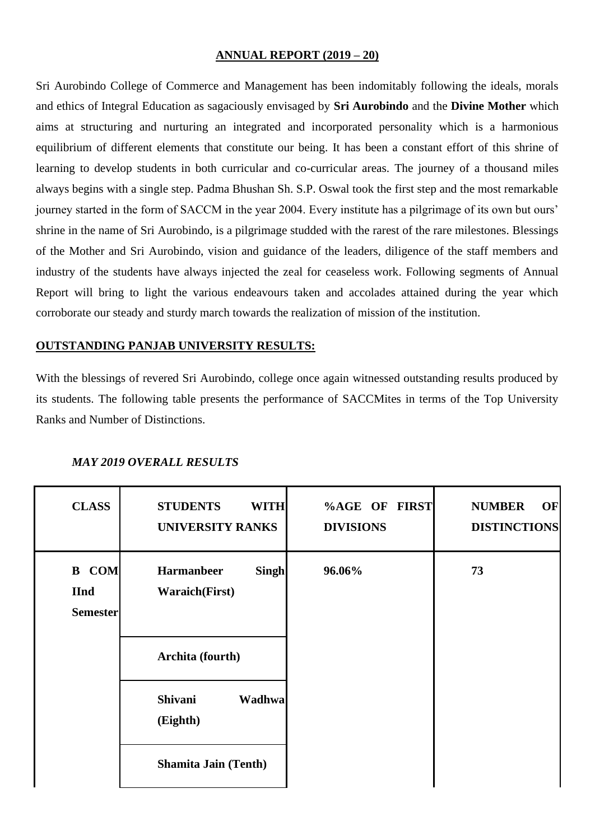#### **ANNUAL REPORT (2019 – 20)**

Sri Aurobindo College of Commerce and Management has been indomitably following the ideals, morals and ethics of Integral Education as sagaciously envisaged by **Sri Aurobindo** and the **Divine Mother** which aims at structuring and nurturing an integrated and incorporated personality which is a harmonious equilibrium of different elements that constitute our being. It has been a constant effort of this shrine of learning to develop students in both curricular and co-curricular areas. The journey of a thousand miles always begins with a single step. Padma Bhushan Sh. S.P. Oswal took the first step and the most remarkable journey started in the form of SACCM in the year 2004. Every institute has a pilgrimage of its own but ours' shrine in the name of Sri Aurobindo, is a pilgrimage studded with the rarest of the rare milestones. Blessings of the Mother and Sri Aurobindo, vision and guidance of the leaders, diligence of the staff members and industry of the students have always injected the zeal for ceaseless work. Following segments of Annual Report will bring to light the various endeavours taken and accolades attained during the year which corroborate our steady and sturdy march towards the realization of mission of the institution.

#### **OUTSTANDING PANJAB UNIVERSITY RESULTS:**

With the blessings of revered Sri Aurobindo, college once again witnessed outstanding results produced by its students. The following table presents the performance of SACCMites in terms of the Top University Ranks and Number of Distinctions.

| <b>CLASS</b>                                   | <b>STUDENTS</b><br><b>WITH</b><br><b>UNIVERSITY RANKS</b> | %AGE OF FIRST<br><b>DIVISIONS</b> | <b>NUMBER</b><br>OF<br><b>DISTINCTIONS</b> |
|------------------------------------------------|-----------------------------------------------------------|-----------------------------------|--------------------------------------------|
| <b>B</b> COM<br><b>IInd</b><br><b>Semester</b> | <b>Harmanbeer</b><br>Singh<br><b>Waraich(First)</b>       | 96.06%                            | 73                                         |
|                                                | Archita (fourth)                                          |                                   |                                            |
|                                                | <b>Shivani</b><br>Wadhwa<br>(Eighth)                      |                                   |                                            |
|                                                | <b>Shamita Jain (Tenth)</b>                               |                                   |                                            |

#### *MAY 2019 OVERALL RESULTS*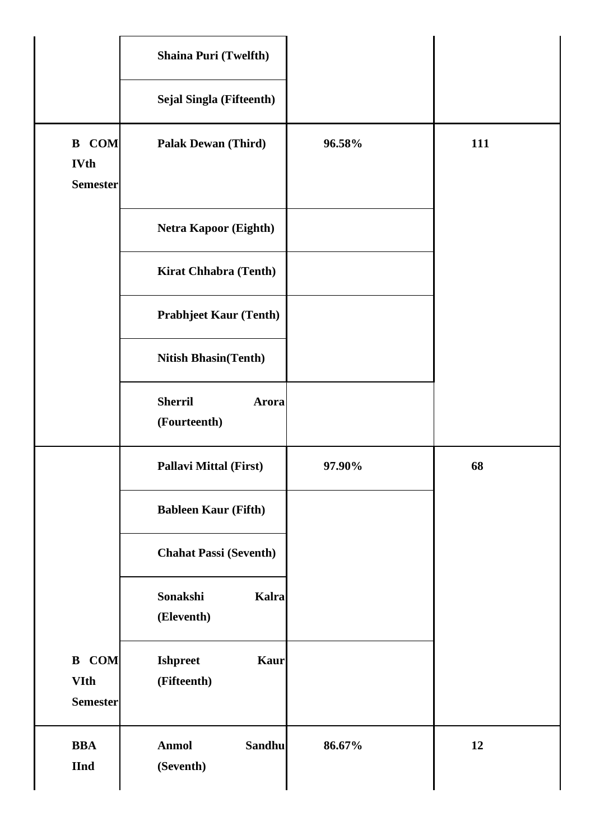|                                                | <b>Shaina Puri (Twelfth)</b>                  |        |     |
|------------------------------------------------|-----------------------------------------------|--------|-----|
|                                                | <b>Sejal Singla (Fifteenth)</b>               |        |     |
| <b>B</b> COM<br><b>IVth</b><br><b>Semester</b> | <b>Palak Dewan (Third)</b>                    | 96.58% | 111 |
|                                                | <b>Netra Kapoor (Eighth)</b>                  |        |     |
|                                                | <b>Kirat Chhabra (Tenth)</b>                  |        |     |
|                                                | <b>Prabhjeet Kaur (Tenth)</b>                 |        |     |
|                                                | <b>Nitish Bhasin(Tenth)</b>                   |        |     |
|                                                | <b>Sherril</b><br>Arora<br>(Fourteenth)       |        |     |
|                                                |                                               |        |     |
|                                                | <b>Pallavi Mittal (First)</b>                 | 97.90% | 68  |
|                                                | <b>Bableen Kaur (Fifth)</b>                   |        |     |
|                                                | <b>Chahat Passi (Seventh)</b>                 |        |     |
|                                                | Sonakshi<br>Kalra<br>(Eleventh)               |        |     |
| <b>B</b> COM<br><b>VIth</b><br><b>Semester</b> | <b>Ishpreet</b><br><b>Kaur</b><br>(Fifteenth) |        |     |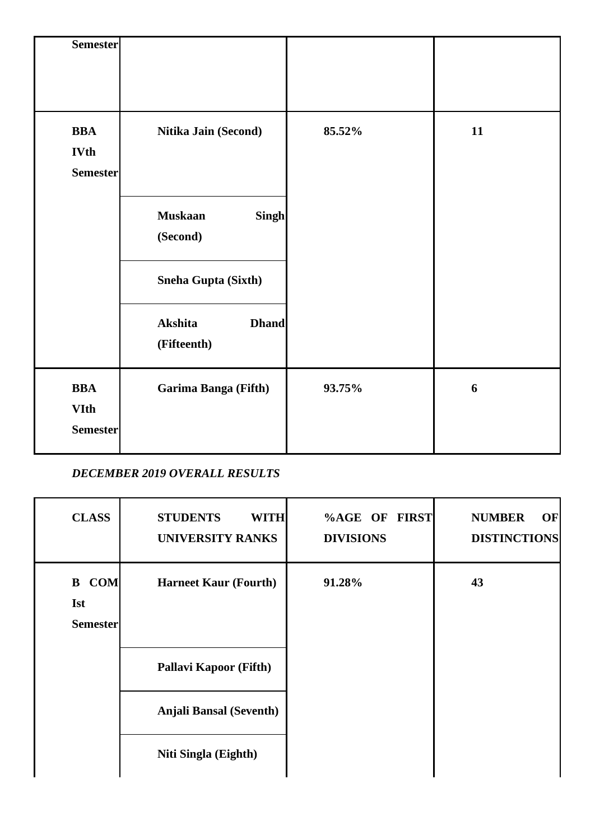| <b>Semester</b>                              |                                                |        |    |
|----------------------------------------------|------------------------------------------------|--------|----|
| <b>BBA</b><br><b>IVth</b><br><b>Semester</b> | Nitika Jain (Second)                           | 85.52% | 11 |
|                                              | <b>Muskaan</b><br><b>Singh</b><br>(Second)     |        |    |
|                                              | Sneha Gupta (Sixth)<br>Akshita<br><b>Dhand</b> |        |    |
|                                              | (Fifteenth)                                    |        |    |
| <b>BBA</b><br><b>VIth</b><br><b>Semester</b> | Garima Banga (Fifth)                           | 93.75% | 6  |

# *DECEMBER 2019 OVERALL RESULTS*

| <b>CLASS</b>                                  | <b>STUDENTS</b><br><b>WITH</b><br><b>UNIVERSITY RANKS</b> | %AGE OF FIRST<br><b>DIVISIONS</b> | <b>NUMBER</b><br>OF<br><b>DISTINCTIONS</b> |
|-----------------------------------------------|-----------------------------------------------------------|-----------------------------------|--------------------------------------------|
| <b>B</b> COM<br><b>Ist</b><br><b>Semester</b> | <b>Harneet Kaur (Fourth)</b>                              | 91.28%                            | 43                                         |
|                                               | <b>Pallavi Kapoor (Fifth)</b>                             |                                   |                                            |
|                                               | <b>Anjali Bansal (Seventh)</b>                            |                                   |                                            |
|                                               | Niti Singla (Eighth)                                      |                                   |                                            |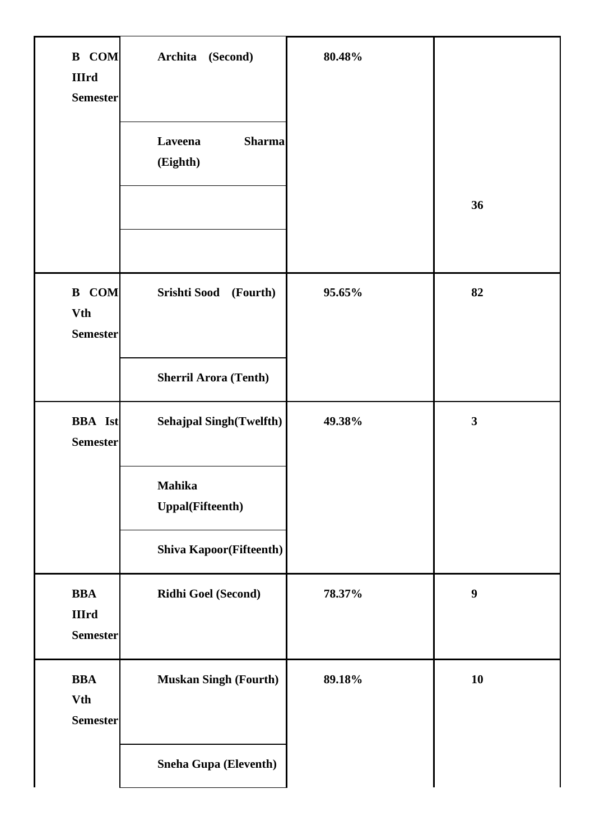| <b>B</b> COM<br><b>IIIrd</b><br><b>Semester</b> | Archita<br>(Second)<br>Laveena<br><b>Sharma</b><br>(Eighth)                                           | 80.48% | 36                      |
|-------------------------------------------------|-------------------------------------------------------------------------------------------------------|--------|-------------------------|
| <b>B</b> COM<br><b>Vth</b><br><b>Semester</b>   | Srishti Sood<br>(Fourth)<br><b>Sherril Arora (Tenth)</b>                                              | 95.65% | 82                      |
| <b>BBA</b> Ist<br><b>Semester</b>               | <b>Sehajpal Singh(Twelfth)</b><br>Mahika<br><b>Uppal(Fifteenth)</b><br><b>Shiva Kapoor(Fifteenth)</b> | 49.38% | $\overline{\mathbf{3}}$ |
| <b>BBA</b><br><b>IIIrd</b><br><b>Semester</b>   | Ridhi Goel (Second)                                                                                   | 78.37% | $\boldsymbol{9}$        |
| <b>BBA</b><br><b>Vth</b><br><b>Semester</b>     | <b>Muskan Singh (Fourth)</b>                                                                          | 89.18% | 10                      |
|                                                 | Sneha Gupa (Eleventh)                                                                                 |        |                         |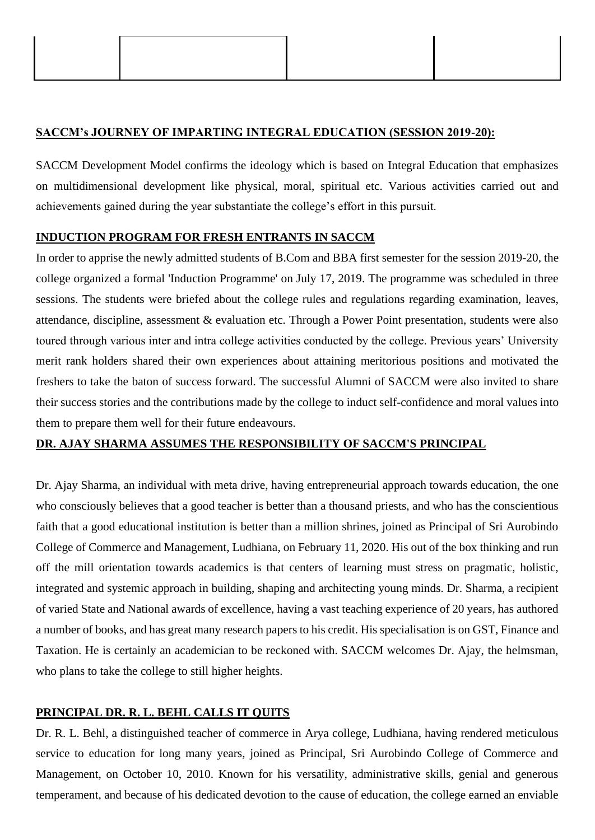#### **SACCM's JOURNEY OF IMPARTING INTEGRAL EDUCATION (SESSION 2019-20):**

SACCM Development Model confirms the ideology which is based on Integral Education that emphasizes on multidimensional development like physical, moral, spiritual etc. Various activities carried out and achievements gained during the year substantiate the college's effort in this pursuit.

#### **INDUCTION PROGRAM FOR FRESH ENTRANTS IN SACCM**

In order to apprise the newly admitted students of B.Com and BBA first semester for the session 2019-20, the college organized a formal 'Induction Programme' on July 17, 2019. The programme was scheduled in three sessions. The students were briefed about the college rules and regulations regarding examination, leaves, attendance, discipline, assessment & evaluation etc. Through a Power Point presentation, students were also toured through various inter and intra college activities conducted by the college. Previous years' University merit rank holders shared their own experiences about attaining meritorious positions and motivated the freshers to take the baton of success forward. The successful Alumni of SACCM were also invited to share their success stories and the contributions made by the college to induct self-confidence and moral values into them to prepare them well for their future endeavours.

#### **DR. AJAY SHARMA ASSUMES THE RESPONSIBILITY OF SACCM'S PRINCIPAL**

Dr. Ajay Sharma, an individual with meta drive, having entrepreneurial approach towards education, the one who consciously believes that a good teacher is better than a thousand priests, and who has the conscientious faith that a good educational institution is better than a million shrines, joined as Principal of Sri Aurobindo College of Commerce and Management, Ludhiana, on February 11, 2020. His out of the box thinking and run off the mill orientation towards academics is that centers of learning must stress on pragmatic, holistic, integrated and systemic approach in building, shaping and architecting young minds. Dr. Sharma, a recipient of varied State and National awards of excellence, having a vast teaching experience of 20 years, has authored a number of books, and has great many research papers to his credit. His specialisation is on GST, Finance and Taxation. He is certainly an academician to be reckoned with. SACCM welcomes Dr. Ajay, the helmsman, who plans to take the college to still higher heights.

### **PRINCIPAL DR. R. L. BEHL CALLS IT QUITS**

Dr. R. L. Behl, a distinguished teacher of commerce in Arya college, Ludhiana, having rendered meticulous service to education for long many years, joined as Principal, Sri Aurobindo College of Commerce and Management, on October 10, 2010. Known for his versatility, administrative skills, genial and generous temperament, and because of his dedicated devotion to the cause of education, the college earned an enviable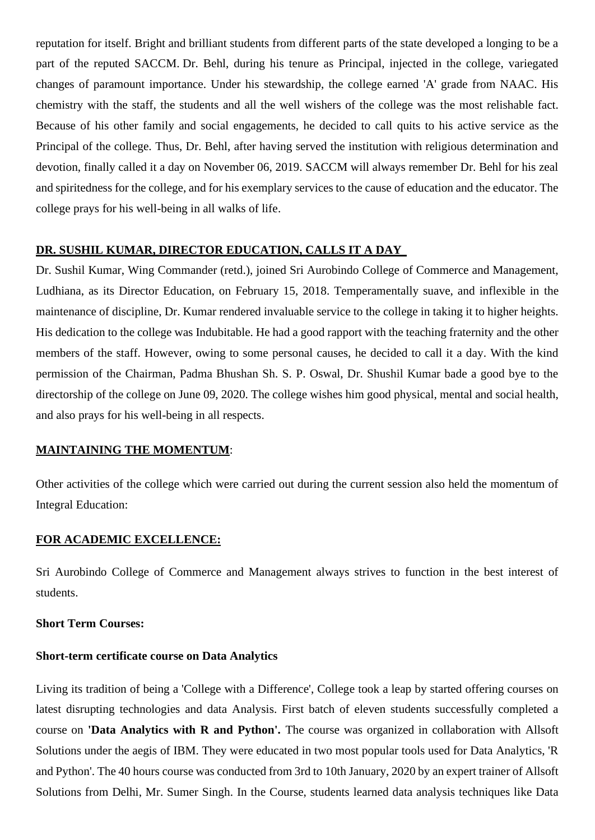reputation for itself. Bright and brilliant students from different parts of the state developed a longing to be a part of the reputed SACCM. Dr. Behl, during his tenure as Principal, injected in the college, variegated changes of paramount importance. Under his stewardship, the college earned 'A' grade from NAAC. His chemistry with the staff, the students and all the well wishers of the college was the most relishable fact. Because of his other family and social engagements, he decided to call quits to his active service as the Principal of the college. Thus, Dr. Behl, after having served the institution with religious determination and devotion, finally called it a day on November 06, 2019. SACCM will always remember Dr. Behl for his zeal and spiritedness for the college, and for his exemplary services to the cause of education and the educator. The college prays for his well-being in all walks of life.

#### **DR. SUSHIL KUMAR, DIRECTOR EDUCATION, CALLS IT A DAY**

Dr. Sushil Kumar, Wing Commander (retd.), joined Sri Aurobindo College of Commerce and Management, Ludhiana, as its Director Education, on February 15, 2018. Temperamentally suave, and inflexible in the maintenance of discipline, Dr. Kumar rendered invaluable service to the college in taking it to higher heights. His dedication to the college was Indubitable. He had a good rapport with the teaching fraternity and the other members of the staff. However, owing to some personal causes, he decided to call it a day. With the kind permission of the Chairman, Padma Bhushan Sh. S. P. Oswal, Dr. Shushil Kumar bade a good bye to the directorship of the college on June 09, 2020. The college wishes him good physical, mental and social health, and also prays for his well-being in all respects.

#### **MAINTAINING THE MOMENTUM**:

Other activities of the college which were carried out during the current session also held the momentum of Integral Education:

#### **FOR ACADEMIC EXCELLENCE:**

Sri Aurobindo College of Commerce and Management always strives to function in the best interest of students.

#### **Short Term Courses:**

### **Short-term certificate course on Data Analytics**

Living its tradition of being a 'College with a Difference', College took a leap by started offering courses on latest disrupting technologies and data Analysis. First batch of eleven students successfully completed a course on **'Data Analytics with R and Python'.** The course was organized in collaboration with Allsoft Solutions under the aegis of IBM. They were educated in two most popular tools used for Data Analytics, 'R and Python'. The 40 hours course was conducted from 3rd to 10th January, 2020 by an expert trainer of Allsoft Solutions from Delhi, Mr. Sumer Singh. In the Course, students learned data analysis techniques like Data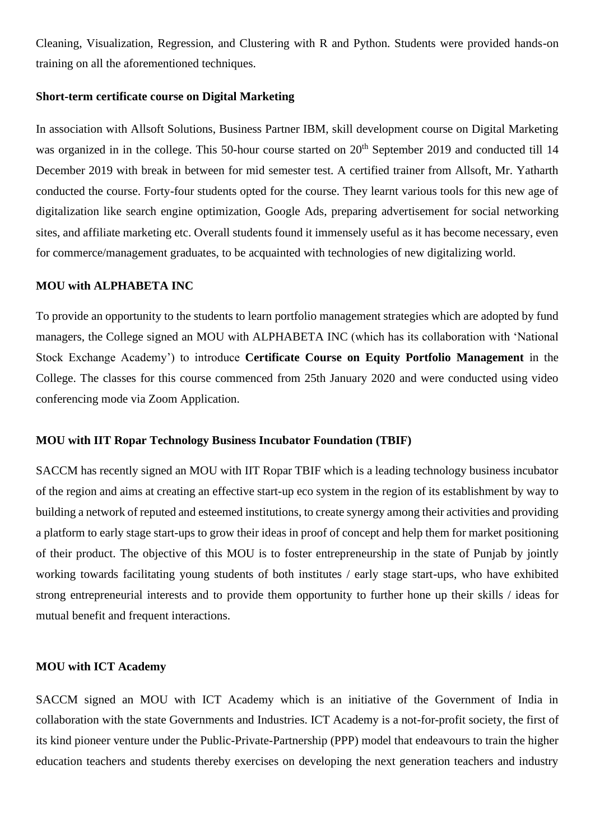Cleaning, Visualization, Regression, and Clustering with R and Python. Students were provided hands-on training on all the aforementioned techniques.

#### **Short-term certificate course on Digital Marketing**

In association with Allsoft Solutions, Business Partner IBM, skill development course on Digital Marketing was organized in in the college. This 50-hour course started on 20<sup>th</sup> September 2019 and conducted till 14 December 2019 with break in between for mid semester test. A certified trainer from Allsoft, Mr. Yatharth conducted the course. Forty-four students opted for the course. They learnt various tools for this new age of digitalization like search engine optimization, Google Ads, preparing advertisement for social networking sites, and affiliate marketing etc. Overall students found it immensely useful as it has become necessary, even for commerce/management graduates, to be acquainted with technologies of new digitalizing world.

#### **MOU with ALPHABETA INC**

To provide an opportunity to the students to learn portfolio management strategies which are adopted by fund managers, the College signed an MOU with ALPHABETA INC (which has its collaboration with 'National Stock Exchange Academy') to introduce **Certificate Course on Equity Portfolio Management** in the College. The classes for this course commenced from 25th January 2020 and were conducted using video conferencing mode via Zoom Application.

#### **MOU with IIT Ropar Technology Business Incubator Foundation (TBIF)**

SACCM has recently signed an MOU with IIT Ropar TBIF which is a leading technology business incubator of the region and aims at creating an effective start-up eco system in the region of its establishment by way to building a network of reputed and esteemed institutions, to create synergy among their activities and providing a platform to early stage start-ups to grow their ideas in proof of concept and help them for market positioning of their product. The objective of this MOU is to foster entrepreneurship in the state of Punjab by jointly working towards facilitating young students of both institutes / early stage start-ups, who have exhibited strong entrepreneurial interests and to provide them opportunity to further hone up their skills / ideas for mutual benefit and frequent interactions.

#### **MOU with ICT Academy**

SACCM signed an MOU with ICT Academy which is an initiative of the Government of India in collaboration with the state Governments and Industries. ICT Academy is a not-for-profit society, the first of its kind pioneer venture under the Public-Private-Partnership (PPP) model that endeavours to train the higher education teachers and students thereby exercises on developing the next generation teachers and industry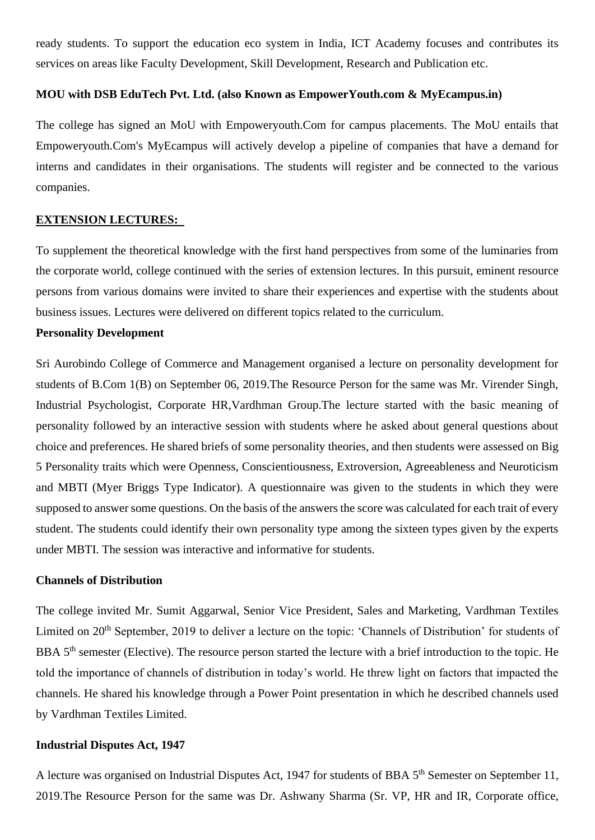ready students. To support the education eco system in India, ICT Academy focuses and contributes its services on areas like Faculty Development, Skill Development, Research and Publication etc.

#### **MOU with DSB EduTech Pvt. Ltd. (also Known as EmpowerYouth.com & MyEcampus.in)**

The college has signed an MoU with Empoweryouth.Com for campus placements. The MoU entails that Empoweryouth.Com's MyEcampus will actively develop a pipeline of companies that have a demand for interns and candidates in their organisations. The students will register and be connected to the various companies.

#### **EXTENSION LECTURES:**

To supplement the theoretical knowledge with the first hand perspectives from some of the luminaries from the corporate world, college continued with the series of extension lectures. In this pursuit, eminent resource persons from various domains were invited to share their experiences and expertise with the students about business issues. Lectures were delivered on different topics related to the curriculum.

#### **Personality Development**

Sri Aurobindo College of Commerce and Management organised a lecture on personality development for students of B.Com 1(B) on September 06, 2019.The Resource Person for the same was Mr. Virender Singh, Industrial Psychologist, Corporate HR,Vardhman Group.The lecture started with the basic meaning of personality followed by an interactive session with students where he asked about general questions about choice and preferences. He shared briefs of some personality theories, and then students were assessed on Big 5 Personality traits which were Openness, Conscientiousness, Extroversion, Agreeableness and Neuroticism and MBTI (Myer Briggs Type Indicator). A questionnaire was given to the students in which they were supposed to answer some questions. On the basis of the answers the score was calculated for each trait of every student. The students could identify their own personality type among the sixteen types given by the experts under MBTI. The session was interactive and informative for students.

#### **Channels of Distribution**

The college invited Mr. Sumit Aggarwal, Senior Vice President, Sales and Marketing, Vardhman Textiles Limited on 20<sup>th</sup> September, 2019 to deliver a lecture on the topic: 'Channels of Distribution' for students of BBA 5<sup>th</sup> semester (Elective). The resource person started the lecture with a brief introduction to the topic. He told the importance of channels of distribution in today's world. He threw light on factors that impacted the channels. He shared his knowledge through a Power Point presentation in which he described channels used by Vardhman Textiles Limited.

#### **Industrial Disputes Act, 1947**

A lecture was organised on Industrial Disputes Act, 1947 for students of BBA 5<sup>th</sup> Semester on September 11, 2019.The Resource Person for the same was Dr. Ashwany Sharma (Sr. VP, HR and IR, Corporate office,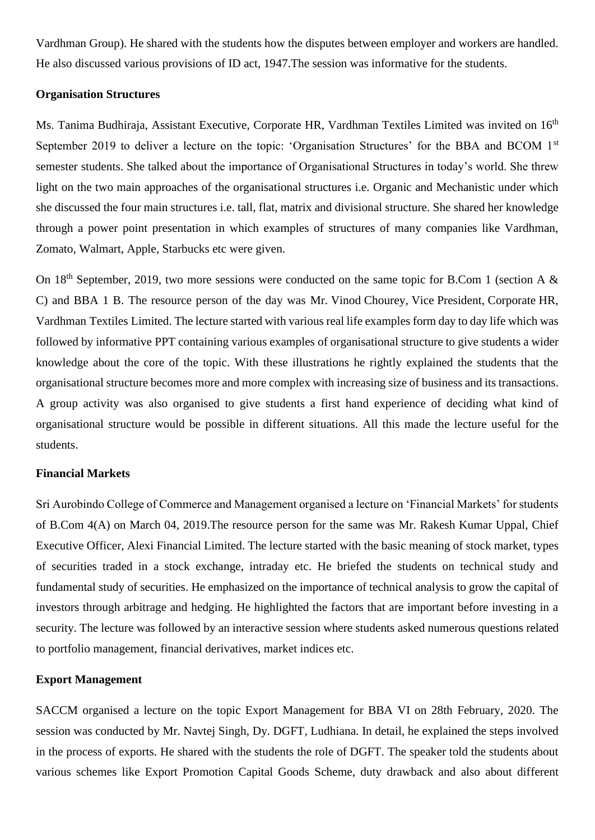Vardhman Group). He shared with the students how the disputes between employer and workers are handled. He also discussed various provisions of ID act, 1947.The session was informative for the students.

#### **Organisation Structures**

Ms. Tanima Budhiraja, Assistant Executive, Corporate HR, Vardhman Textiles Limited was invited on 16<sup>th</sup> September 2019 to deliver a lecture on the topic: 'Organisation Structures' for the BBA and BCOM 1<sup>st</sup> semester students. She talked about the importance of Organisational Structures in today's world. She threw light on the two main approaches of the organisational structures *i.e.* Organic and Mechanistic under which she discussed the four main structures i.e. tall, flat, matrix and divisional structure. She shared her knowledge through a power point presentation in which examples of structures of many companies like Vardhman, Zomato, Walmart, Apple, Starbucks etc were given.

On 18<sup>th</sup> September, 2019, two more sessions were conducted on the same topic for B.Com 1 (section A  $\&$ C) and BBA 1 B. The resource person of the day was Mr. Vinod Chourey, Vice President, Corporate HR, Vardhman Textiles Limited. The lecture started with various real life examples form day to day life which was followed by informative PPT containing various examples of organisational structure to give students a wider knowledge about the core of the topic. With these illustrations he rightly explained the students that the organisational structure becomes more and more complex with increasing size of business and its transactions. A group activity was also organised to give students a first hand experience of deciding what kind of organisational structure would be possible in different situations. All this made the lecture useful for the students.

#### **Financial Markets**

Sri Aurobindo College of Commerce and Management organised a lecture on 'Financial Markets' for students of B.Com 4(A) on March 04, 2019.The resource person for the same was Mr. Rakesh Kumar Uppal, Chief Executive Officer, Alexi Financial Limited. The lecture started with the basic meaning of stock market, types of securities traded in a stock exchange, intraday etc. He briefed the students on technical study and fundamental study of securities. He emphasized on the importance of technical analysis to grow the capital of investors through arbitrage and hedging. He highlighted the factors that are important before investing in a security. The lecture was followed by an interactive session where students asked numerous questions related to portfolio management, financial derivatives, market indices etc.

#### **Export Management**

SACCM organised a lecture on the topic Export Management for BBA VI on 28th February, 2020. The session was conducted by Mr. Navtej Singh, Dy. DGFT, Ludhiana. In detail, he explained the steps involved in the process of exports. He shared with the students the role of DGFT. The speaker told the students about various schemes like Export Promotion Capital Goods Scheme, duty drawback and also about different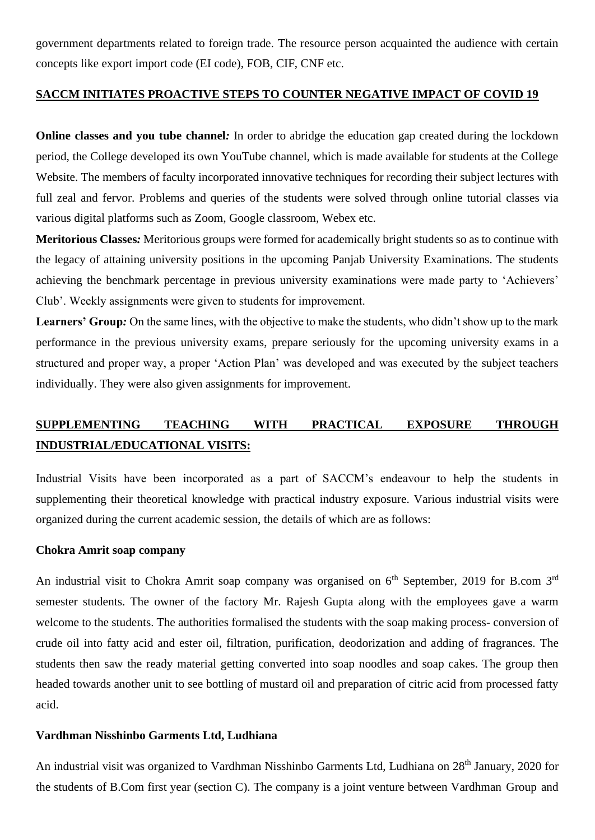government departments related to foreign trade. The resource person acquainted the audience with certain concepts like export import code (EI code), FOB, CIF, CNF etc.

### **SACCM INITIATES PROACTIVE STEPS TO COUNTER NEGATIVE IMPACT OF COVID 19**

**Online classes and you tube channel***:* In order to abridge the education gap created during the lockdown period, the College developed its own YouTube channel, which is made available for students at the College Website. The members of faculty incorporated innovative techniques for recording their subject lectures with full zeal and fervor. Problems and queries of the students were solved through online tutorial classes via various digital platforms such as Zoom, Google classroom, Webex etc.

**Meritorious Classes***:* Meritorious groups were formed for academically bright students so as to continue with the legacy of attaining university positions in the upcoming Panjab University Examinations. The students achieving the benchmark percentage in previous university examinations were made party to 'Achievers' Club'. Weekly assignments were given to students for improvement.

Learners' Group: On the same lines, with the objective to make the students, who didn't show up to the mark performance in the previous university exams, prepare seriously for the upcoming university exams in a structured and proper way, a proper 'Action Plan' was developed and was executed by the subject teachers individually. They were also given assignments for improvement.

# **SUPPLEMENTING TEACHING WITH PRACTICAL EXPOSURE THROUGH INDUSTRIAL/EDUCATIONAL VISITS:**

Industrial Visits have been incorporated as a part of SACCM's endeavour to help the students in supplementing their theoretical knowledge with practical industry exposure. Various industrial visits were organized during the current academic session, the details of which are as follows:

#### **Chokra Amrit soap company**

An industrial visit to Chokra Amrit soap company was organised on  $6<sup>th</sup>$  September, 2019 for B.com 3<sup>rd</sup> semester students. The owner of the factory Mr. Rajesh Gupta along with the employees gave a warm welcome to the students. The authorities formalised the students with the soap making process- conversion of crude oil into fatty acid and ester oil, filtration, purification, deodorization and adding of fragrances. The students then saw the ready material getting converted into soap noodles and soap cakes. The group then headed towards another unit to see bottling of mustard oil and preparation of citric acid from processed fatty acid.

#### **Vardhman Nisshinbo Garments Ltd, Ludhiana**

An industrial visit was organized to Vardhman Nisshinbo Garments Ltd, Ludhiana on 28<sup>th</sup> January, 2020 for the students of B.Com first year (section C). The company is a joint venture between Vardhman Group and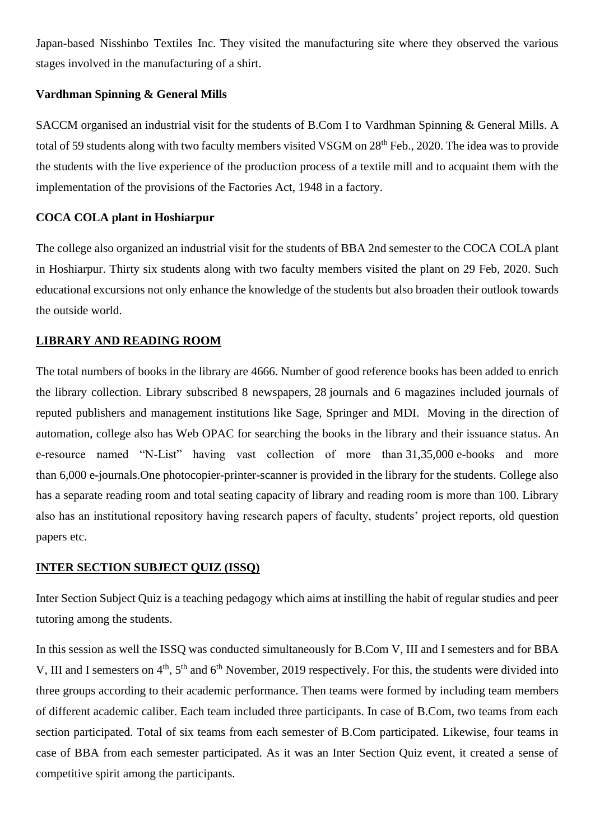Japan-based Nisshinbo Textiles Inc. They visited the manufacturing site where they observed the various stages involved in the manufacturing of a shirt.

#### **Vardhman Spinning & General Mills**

SACCM organised an industrial visit for the students of B.Com I to Vardhman Spinning & General Mills. A total of 59 students along with two faculty members visited VSGM on 28<sup>th</sup> Feb., 2020. The idea was to provide the students with the live experience of the production process of a textile mill and to acquaint them with the implementation of the provisions of the Factories Act, 1948 in a factory.

#### **COCA COLA plant in Hoshiarpur**

The college also organized an industrial visit for the students of BBA 2nd semester to the COCA COLA plant in Hoshiarpur. Thirty six students along with two faculty members visited the plant on 29 Feb, 2020. Such educational excursions not only enhance the knowledge of the students but also broaden their outlook towards the outside world.

#### **LIBRARY AND READING ROOM**

The total numbers of books in the library are 4666. Number of good reference books has been added to enrich the library collection. Library subscribed 8 newspapers, 28 journals and 6 magazines included journals of reputed publishers and management institutions like Sage, Springer and MDI. Moving in the direction of automation, college also has Web OPAC for searching the books in the library and their issuance status. An e-resource named "N-List" having vast collection of more than 31,35,000 e-books and more than 6,000 e-journals.One photocopier-printer-scanner is provided in the library for the students. College also has a separate reading room and total seating capacity of library and reading room is more than 100. Library also has an institutional repository having research papers of faculty, students' project reports, old question papers etc.

#### **INTER SECTION SUBJECT QUIZ (ISSQ)**

Inter Section Subject Quiz is a teaching pedagogy which aims at instilling the habit of regular studies and peer tutoring among the students.

In this session as well the ISSQ was conducted simultaneously for B.Com V, III and I semesters and for BBA V, III and I semesters on  $4<sup>th</sup>$ ,  $5<sup>th</sup>$  and  $6<sup>th</sup>$  November, 2019 respectively. For this, the students were divided into three groups according to their academic performance. Then teams were formed by including team members of different academic caliber. Each team included three participants. In case of B.Com, two teams from each section participated. Total of six teams from each semester of B.Com participated. Likewise, four teams in case of BBA from each semester participated. As it was an Inter Section Quiz event, it created a sense of competitive spirit among the participants.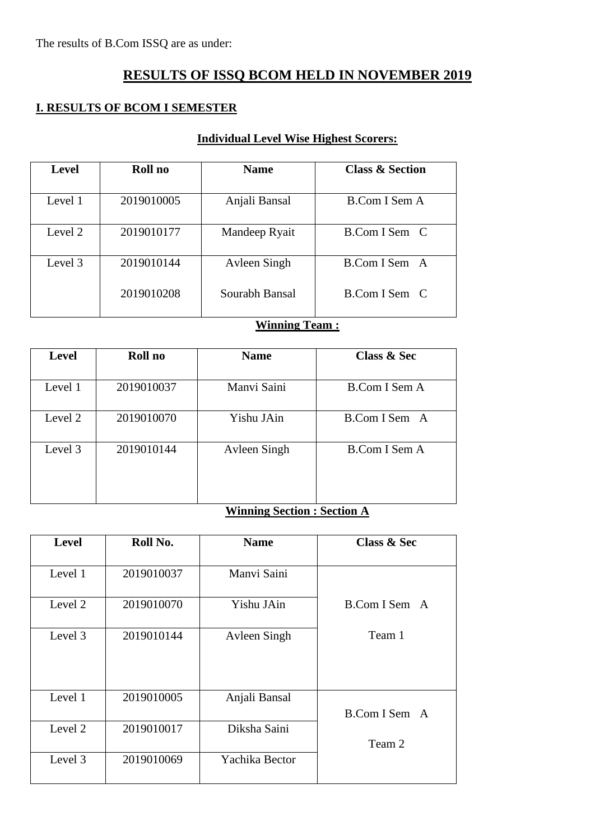# **RESULTS OF ISSQ BCOM HELD IN NOVEMBER 2019**

### **I. RESULTS OF BCOM I SEMESTER**

### **Individual Level Wise Highest Scorers:**

| <b>Level</b> | Roll no    | <b>Name</b>    | <b>Class &amp; Section</b> |
|--------------|------------|----------------|----------------------------|
| Level 1      | 2019010005 | Anjali Bansal  | B.Com I Sem A              |
| Level 2      | 2019010177 | Mandeep Ryait  | B.Com I Sem C              |
| Level 3      | 2019010144 | Avleen Singh   | B.Com I Sem A              |
|              | 2019010208 | Sourabh Bansal | B.Com I Sem C              |

# **Winning Team :**

| <b>Level</b> | Roll no    | <b>Name</b>  | <b>Class &amp; Sec</b> |
|--------------|------------|--------------|------------------------|
| Level 1      | 2019010037 | Manyi Saini  | B.Com I Sem A          |
| Level 2      | 2019010070 | Yishu JAin   | B.Com I Sem A          |
| Level 3      | 2019010144 | Avleen Singh | <b>B.Com I Sem A</b>   |

# **Winning Section : Section A**

| <b>Level</b> | Roll No.   | <b>Name</b>    | <b>Class &amp; Sec</b> |
|--------------|------------|----------------|------------------------|
| Level 1      | 2019010037 | Manvi Saini    |                        |
| Level 2      | 2019010070 | Yishu JAin     | B.Com I Sem A          |
| Level 3      | 2019010144 | Avleen Singh   | Team 1                 |
| Level 1      | 2019010005 | Anjali Bansal  | B.Com I Sem A          |
| Level 2      | 2019010017 | Diksha Saini   | Team 2                 |
| Level 3      | 2019010069 | Yachika Bector |                        |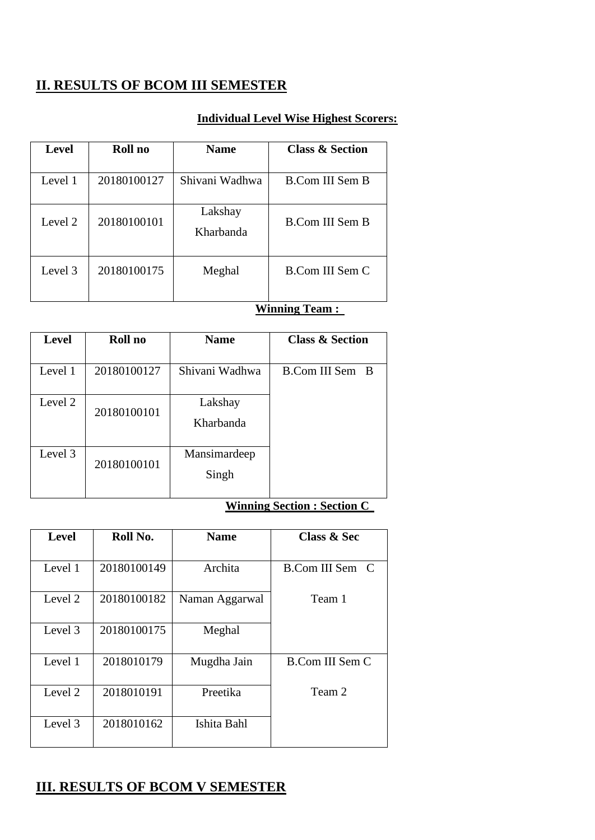# **II. RESULTS OF BCOM III SEMESTER**

### **Individual Level Wise Highest Scorers:**

| <b>Level</b> | Roll no     | <b>Name</b>          | <b>Class &amp; Section</b> |
|--------------|-------------|----------------------|----------------------------|
| Level 1      | 20180100127 | Shivani Wadhwa       | B.Com III Sem B            |
| Level 2      | 20180100101 | Lakshay<br>Kharbanda | <b>B.Com III Sem B</b>     |
| Level 3      | 20180100175 | Meghal               | B.Com III Sem C            |

#### **Winning Team :**

| <b>Level</b> | Roll no     | <b>Name</b>           | <b>Class &amp; Section</b> |
|--------------|-------------|-----------------------|----------------------------|
| Level 1      | 20180100127 | Shivani Wadhwa        | B.Com III Sem B            |
| Level 2      | 20180100101 | Lakshay<br>Kharbanda  |                            |
| Level 3      | 20180100101 | Mansimardeep<br>Singh |                            |

### **Winning Section : Section C**

| <b>Level</b> | Roll No.    | <b>Name</b>    | <b>Class &amp; Sec</b> |
|--------------|-------------|----------------|------------------------|
|              |             |                |                        |
| Level 1      | 20180100149 | Archita        | B.Com III Sem C        |
|              |             |                |                        |
| Level 2      | 20180100182 | Naman Aggarwal | Team 1                 |
|              |             |                |                        |
| Level 3      | 20180100175 | Meghal         |                        |
|              |             |                |                        |
| Level 1      | 2018010179  | Mugdha Jain    | <b>B.Com III Sem C</b> |
|              |             |                |                        |
| Level 2      | 2018010191  | Preetika       | Team 2                 |
|              |             |                |                        |
| Level 3      | 2018010162  | Ishita Bahl    |                        |
|              |             |                |                        |

# **III. RESULTS OF BCOM V SEMESTER**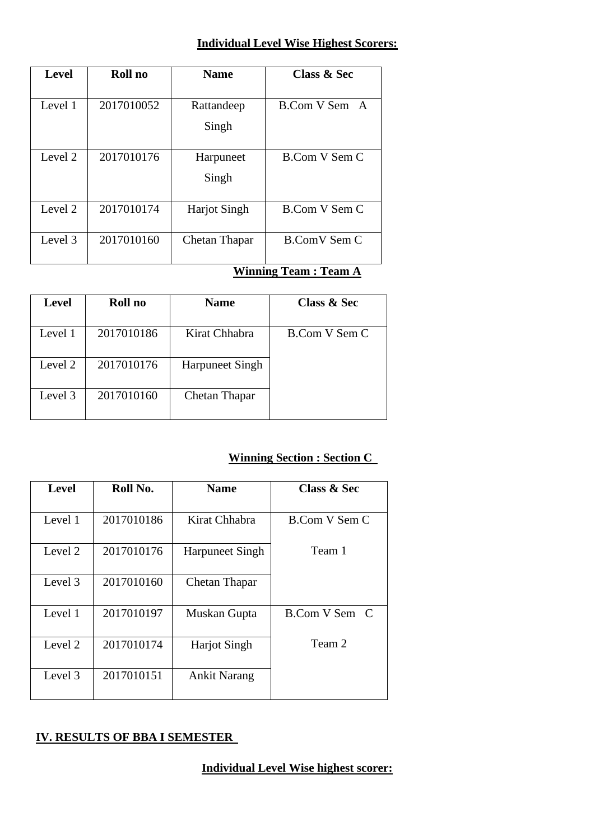### **Individual Level Wise Highest Scorers:**

| <b>Level</b> | Roll no    | <b>Name</b>         | <b>Class &amp; Sec</b> |
|--------------|------------|---------------------|------------------------|
|              |            |                     |                        |
| Level 1      | 2017010052 | Rattandeep          | B.Com V Sem A          |
|              |            | Singh               |                        |
| Level 2      | 2017010176 | Harpuneet           | B.Com V Sem C          |
|              |            | Singh               |                        |
| Level 2      | 2017010174 | <b>Harjot</b> Singh | B.Com V Sem C          |
| Level 3      | 2017010160 | Chetan Thapar       | <b>B.ComV Sem C</b>    |

# **Winning Team : Team A**

| <b>Level</b> | Roll no    | <b>Name</b>            | <b>Class &amp; Sec</b> |
|--------------|------------|------------------------|------------------------|
| Level 1      | 2017010186 | Kirat Chhabra          | B.Com V Sem C          |
| Level 2      | 2017010176 | <b>Harpuneet Singh</b> |                        |
| Level 3      | 2017010160 | Chetan Thapar          |                        |

# **Winning Section : Section C**

| <b>Level</b> | Roll No.   | <b>Name</b>            | <b>Class &amp; Sec</b> |
|--------------|------------|------------------------|------------------------|
| Level 1      | 2017010186 | Kirat Chhabra          | B.Com V Sem C          |
| Level 2      | 2017010176 | <b>Harpuneet Singh</b> | Team 1                 |
| Level 3      | 2017010160 | Chetan Thapar          |                        |
| Level 1      | 2017010197 | Muskan Gupta           | B.Com V Sem C          |
| Level 2      | 2017010174 | <b>Harjot Singh</b>    | Team 2                 |
| Level 3      | 2017010151 | <b>Ankit Narang</b>    |                        |

### **IV. RESULTS OF BBA I SEMESTER**

**Individual Level Wise highest scorer:**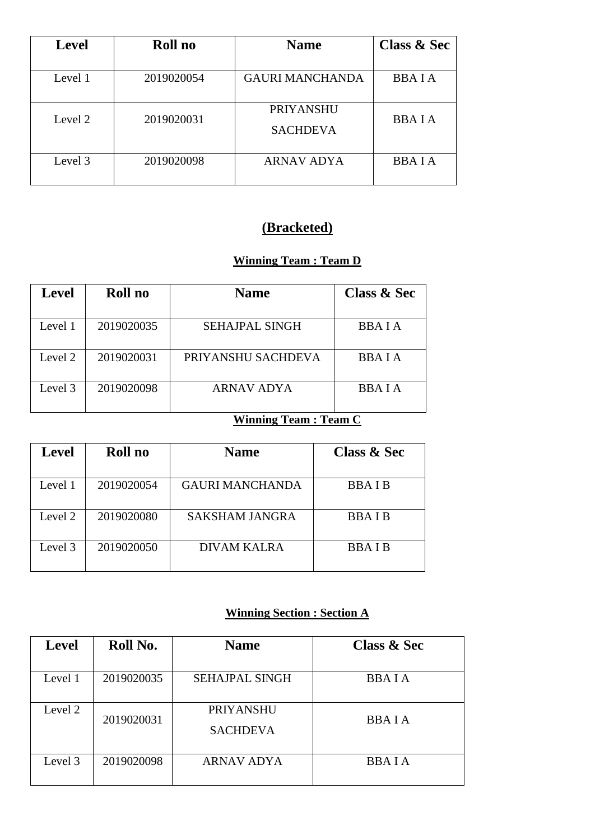| <b>Level</b> | Roll no    | <b>Name</b>                         | <b>Class &amp; Sec</b> |
|--------------|------------|-------------------------------------|------------------------|
| Level 1      | 2019020054 | <b>GAURI MANCHANDA</b>              | <b>BBAIA</b>           |
| Level 2      | 2019020031 | <b>PRIYANSHU</b><br><b>SACHDEVA</b> | <b>BBAIA</b>           |
| Level 3      | 2019020098 | <b>ARNAV ADYA</b>                   | <b>BBAIA</b>           |

# **(Bracketed)**

# **Winning Team : Team D**

| <b>Level</b> | Roll no    | <b>Name</b>           | <b>Class &amp; Sec</b> |
|--------------|------------|-----------------------|------------------------|
|              |            |                       |                        |
| Level 1      | 2019020035 | <b>SEHAJPAL SINGH</b> | <b>BBAIA</b>           |
|              |            |                       |                        |
| Level 2      | 2019020031 | PRIYANSHU SACHDEVA    | <b>BBAIA</b>           |
|              |            |                       |                        |
| Level 3      | 2019020098 | ARNAV ADYA            | <b>BBAIA</b>           |
|              |            |                       |                        |

### **Winning Team : Team C**

| <b>Level</b> | Roll no    | <b>Name</b>            | <b>Class &amp; Sec</b> |
|--------------|------------|------------------------|------------------------|
| Level 1      | 2019020054 | <b>GAURI MANCHANDA</b> | <b>BBAIB</b>           |
|              |            |                        |                        |
| Level 2      | 2019020080 | <b>SAKSHAM JANGRA</b>  | <b>BBAIB</b>           |
| Level 3      | 2019020050 | DIVAM KALRA            | <b>BBAIB</b>           |

# **Winning Section : Section A**

| <b>Level</b> | Roll No.   | <b>Name</b>                         | <b>Class &amp; Sec</b> |
|--------------|------------|-------------------------------------|------------------------|
| Level 1      | 2019020035 | <b>SEHAJPAL SINGH</b>               | <b>BBAIA</b>           |
| Level 2      | 2019020031 | <b>PRIYANSHU</b><br><b>SACHDEVA</b> | <b>BBAIA</b>           |
| Level 3      | 2019020098 | <b>ARNAV ADYA</b>                   | <b>BBAIA</b>           |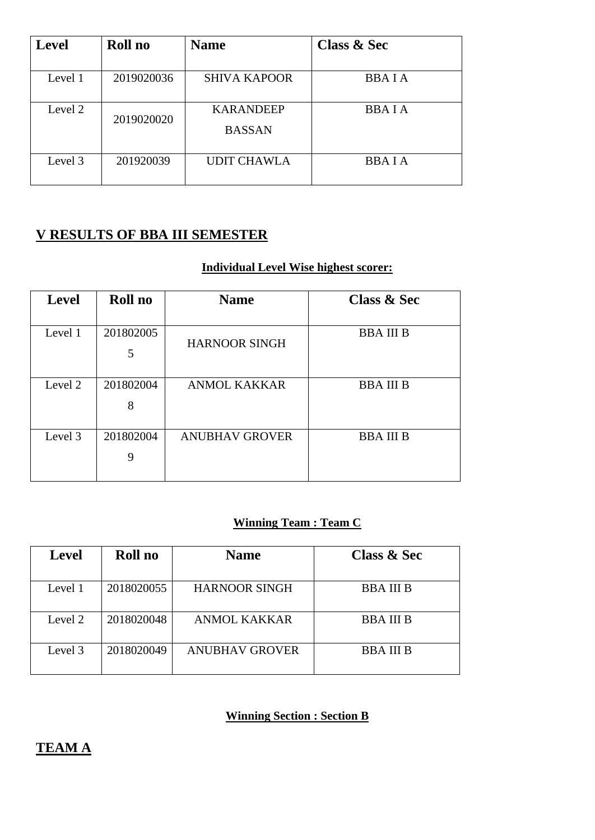| <b>Level</b> | Roll no    | <b>Name</b>                       | <b>Class &amp; Sec</b> |
|--------------|------------|-----------------------------------|------------------------|
| Level 1      | 2019020036 | <b>SHIVA KAPOOR</b>               | <b>BBAIA</b>           |
| Level 2      | 2019020020 | <b>KARANDEEP</b><br><b>BASSAN</b> | <b>BBAIA</b>           |
| Level 3      | 201920039  | <b>UDIT CHAWLA</b>                | <b>BBAIA</b>           |

# **V RESULTS OF BBA III SEMESTER**

### **Individual Level Wise highest scorer:**

| <b>Level</b> | Roll no        | <b>Name</b>           | <b>Class &amp; Sec</b> |
|--------------|----------------|-----------------------|------------------------|
| Level 1      | 201802005<br>5 | <b>HARNOOR SINGH</b>  | <b>BBAIIIB</b>         |
| Level 2      | 201802004<br>8 | <b>ANMOL KAKKAR</b>   | <b>BBAIIIB</b>         |
| Level 3      | 201802004<br>9 | <b>ANUBHAV GROVER</b> | <b>BBAIIIB</b>         |

# **Winning Team : Team C**

| <b>Level</b> | Roll no    | <b>Name</b>           | <b>Class &amp; Sec</b> |
|--------------|------------|-----------------------|------------------------|
| Level 1      | 2018020055 | <b>HARNOOR SINGH</b>  | <b>BBA III B</b>       |
| Level 2      | 2018020048 | <b>ANMOL KAKKAR</b>   | <b>BBAIIIB</b>         |
| Level 3      | 2018020049 | <b>ANUBHAV GROVER</b> | <b>BBA III B</b>       |

## **Winning Section : Section B**

# **TEAM A**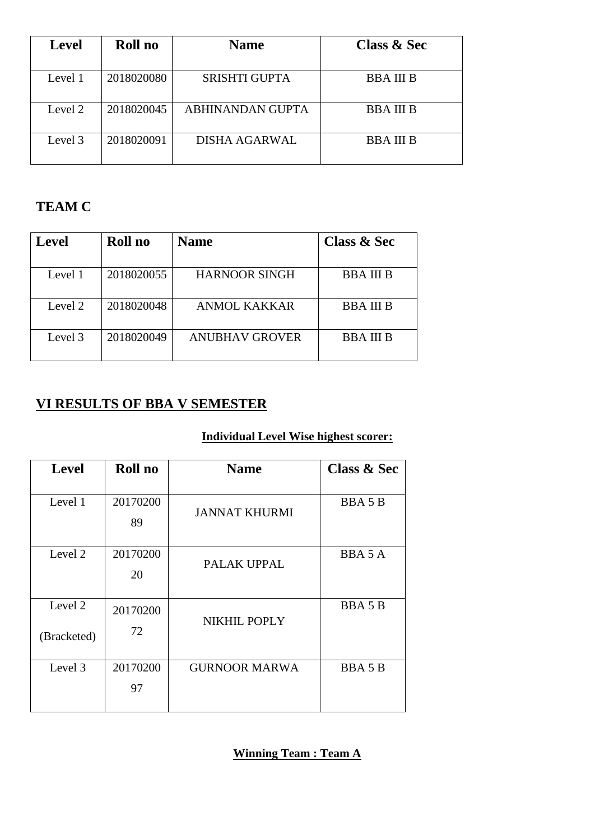| <b>Level</b> | Roll no    | <b>Name</b>          | <b>Class &amp; Sec</b> |
|--------------|------------|----------------------|------------------------|
| Level 1      | 2018020080 | <b>SRISHTI GUPTA</b> | <b>BBAIII</b> B        |
| Level 2      | 2018020045 | ABHINANDAN GUPTA     | <b>BBAIII</b> B        |
| Level 3      | 2018020091 | <b>DISHA AGARWAL</b> | <b>BBA III B</b>       |

# **TEAM C**

| <b>Level</b> | Roll no    | <b>Name</b>           | <b>Class &amp; Sec</b> |
|--------------|------------|-----------------------|------------------------|
| Level 1      | 2018020055 | <b>HARNOOR SINGH</b>  | <b>BBA III B</b>       |
| Level 2      | 2018020048 | ANMOL KAKKAR          | <b>BBA III B</b>       |
| Level 3      | 2018020049 | <b>ANUBHAV GROVER</b> | <b>BBA III B</b>       |

# **VI RESULTS OF BBA V SEMESTER**

# **Individual Level Wise highest scorer:**

| <b>Level</b> | Roll no        | <b>Name</b>          | <b>Class &amp; Sec</b> |
|--------------|----------------|----------------------|------------------------|
| Level 1      | 20170200<br>89 | <b>JANNAT KHURMI</b> | <b>BBA5B</b>           |
| Level 2      | 20170200<br>20 | PALAK UPPAL          | BBA 5 A                |
| Level 2      | 20170200<br>72 | NIKHIL POPLY         | <b>BBA5B</b>           |
| (Bracketed)  |                |                      |                        |
| Level 3      | 20170200<br>97 | <b>GURNOOR MARWA</b> | <b>BBA5B</b>           |
|              |                |                      |                        |

**Winning Team : Team A**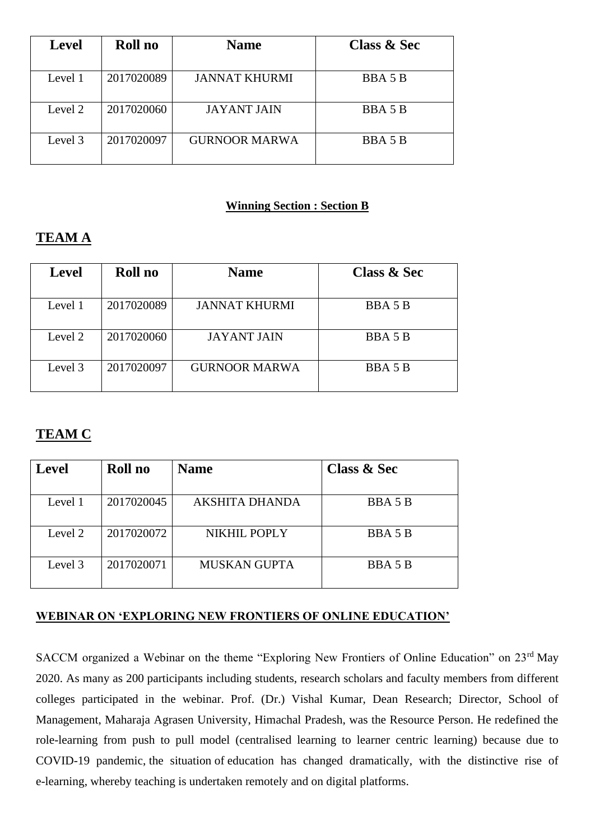| <b>Level</b> | Roll no    | <b>Name</b>          | <b>Class &amp; Sec</b> |
|--------------|------------|----------------------|------------------------|
| Level 1      | 2017020089 | <b>JANNAT KHURMI</b> | <b>BBA5B</b>           |
| Level 2      | 2017020060 | <b>JAYANT JAIN</b>   | <b>BBA5B</b>           |
| Level 3      | 2017020097 | <b>GURNOOR MARWA</b> | <b>BBA5B</b>           |

### **Winning Section : Section B**

# **TEAM A**

| <b>Level</b> | Roll no    | <b>Name</b>          | <b>Class &amp; Sec</b> |
|--------------|------------|----------------------|------------------------|
| Level 1      | 2017020089 | <b>JANNAT KHURMI</b> | <b>BBA5B</b>           |
| Level 2      | 2017020060 | <b>JAYANT JAIN</b>   | <b>BBA5B</b>           |
| Level 3      | 2017020097 | <b>GURNOOR MARWA</b> | <b>BBA5B</b>           |

# **TEAM C**

| <b>Level</b> | Roll no    | <b>Name</b>           | <b>Class &amp; Sec</b> |
|--------------|------------|-----------------------|------------------------|
|              |            |                       |                        |
| Level 1      | 2017020045 | <b>AKSHITA DHANDA</b> | <b>BBA5B</b>           |
|              |            |                       |                        |
| Level 2      | 2017020072 | NIKHIL POPLY          | <b>BBA5B</b>           |
|              |            |                       |                        |
| Level 3      | 2017020071 | <b>MUSKAN GUPTA</b>   | <b>BBA5B</b>           |
|              |            |                       |                        |

### **WEBINAR ON 'EXPLORING NEW FRONTIERS OF ONLINE EDUCATION'**

SACCM organized a Webinar on the theme "Exploring New Frontiers of Online Education" on 23<sup>rd</sup> May 2020. As many as 200 participants including students, research scholars and faculty members from different colleges participated in the webinar. Prof. (Dr.) Vishal Kumar, Dean Research; Director, School of Management, Maharaja Agrasen University, Himachal Pradesh, was the Resource Person. He redefined the role-learning from push to pull model (centralised learning to learner centric learning) because due to COVID-19 pandemic, the situation of education has changed dramatically, with the distinctive rise of e-learning, whereby teaching is undertaken remotely and on digital platforms.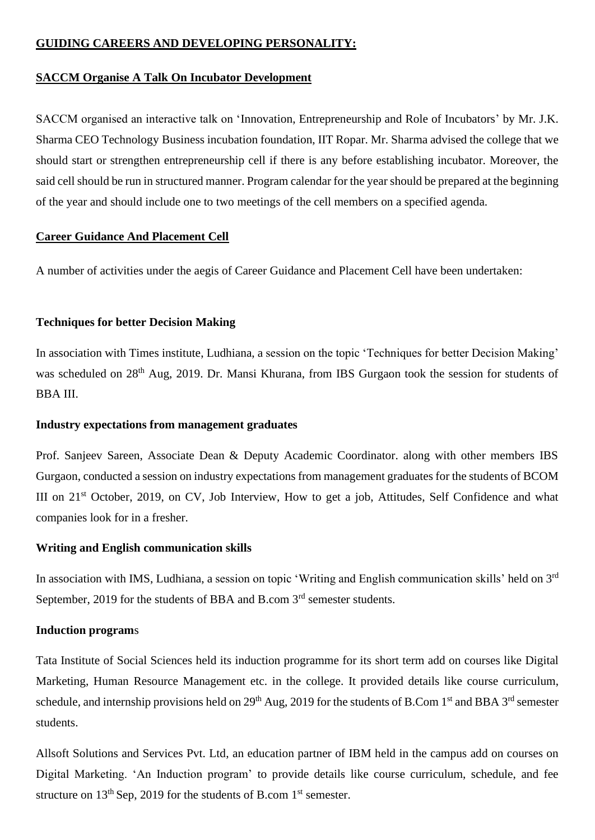#### **GUIDING CAREERS AND DEVELOPING PERSONALITY:**

#### **SACCM Organise A Talk On Incubator Development**

SACCM organised an interactive talk on 'Innovation, Entrepreneurship and Role of Incubators' by Mr. J.K. Sharma CEO Technology Business incubation foundation, IIT Ropar. Mr. Sharma advised the college that we should start or strengthen entrepreneurship cell if there is any before establishing incubator. Moreover, the said cell should be run in structured manner. Program calendar for the year should be prepared at the beginning of the year and should include one to two meetings of the cell members on a specified agenda.

#### **Career Guidance And Placement Cell**

A number of activities under the aegis of Career Guidance and Placement Cell have been undertaken:

#### **Techniques for better Decision Making**

In association with Times institute, Ludhiana, a session on the topic 'Techniques for better Decision Making' was scheduled on 28<sup>th</sup> Aug, 2019. Dr. Mansi Khurana, from IBS Gurgaon took the session for students of BBA III.

#### **Industry expectations from management graduates**

Prof. Sanjeev Sareen, Associate Dean & Deputy Academic Coordinator. along with other members IBS Gurgaon, conducted a session on industry expectations from management graduates for the students of BCOM III on 21st October, 2019, on CV, Job Interview, How to get a job, Attitudes, Self Confidence and what companies look for in a fresher.

#### **Writing and English communication skills**

In association with IMS, Ludhiana, a session on topic 'Writing and English communication skills' held on 3<sup>rd</sup> September, 2019 for the students of BBA and B.com 3<sup>rd</sup> semester students.

#### **Induction program**s

Tata Institute of Social Sciences held its induction programme for its short term add on courses like Digital Marketing, Human Resource Management etc. in the college. It provided details like course curriculum, schedule, and internship provisions held on 29<sup>th</sup> Aug, 2019 for the students of B.Com 1<sup>st</sup> and BBA 3<sup>rd</sup> semester students.

Allsoft Solutions and Services Pvt. Ltd, an education partner of IBM held in the campus add on courses on Digital Marketing. 'An Induction program' to provide details like course curriculum, schedule, and fee structure on  $13<sup>th</sup>$  Sep, 2019 for the students of B.com  $1<sup>st</sup>$  semester.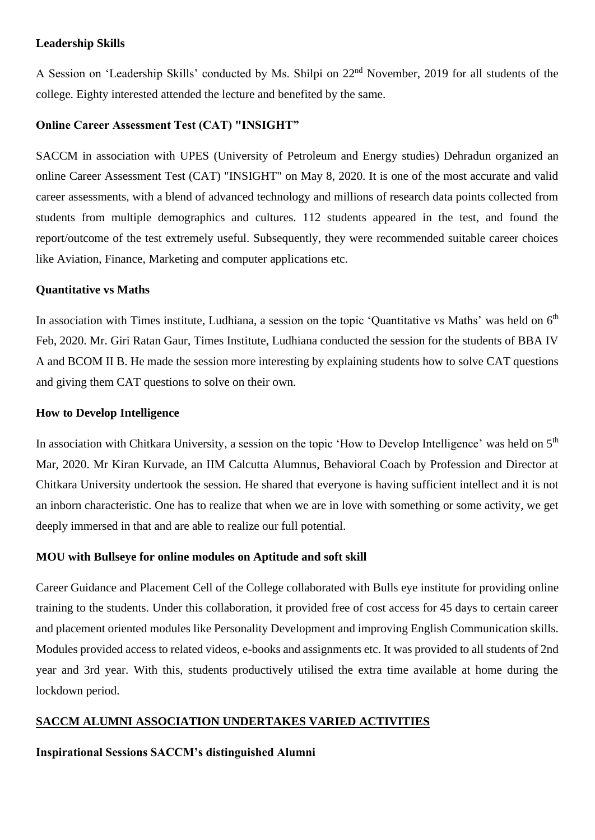#### **Leadership Skills**

A Session on 'Leadership Skills' conducted by Ms. Shilpi on 22nd November, 2019 for all students of the college. Eighty interested attended the lecture and benefited by the same.

#### **Online Career Assessment Test (CAT) "INSIGHT"**

SACCM in association with UPES (University of Petroleum and Energy studies) Dehradun organized an online Career Assessment Test (CAT) "INSIGHT" on May 8, 2020. It is one of the most accurate and valid career assessments, with a blend of advanced technology and millions of research data points collected from students from multiple demographics and cultures. 112 students appeared in the test, and found the report/outcome of the test extremely useful. Subsequently, they were recommended suitable career choices like Aviation, Finance, Marketing and computer applications etc.

#### **Quantitative vs Maths**

In association with Times institute, Ludhiana, a session on the topic 'Quantitative vs Maths' was held on  $6<sup>th</sup>$ Feb, 2020. Mr. Giri Ratan Gaur, Times Institute, Ludhiana conducted the session for the students of BBA IV A and BCOM II B. He made the session more interesting by explaining students how to solve CAT questions and giving them CAT questions to solve on their own.

#### **How to Develop Intelligence**

In association with Chitkara University, a session on the topic 'How to Develop Intelligence' was held on 5<sup>th</sup> Mar, 2020. Mr Kiran Kurvade, an IIM Calcutta Alumnus, Behavioral Coach by Profession and Director at Chitkara University undertook the session. He shared that everyone is having sufficient intellect and it is not an inborn characteristic. One has to realize that when we are in love with something or some activity, we get deeply immersed in that and are able to realize our full potential.

#### **MOU with Bullseye for online modules on Aptitude and soft skill**

Career Guidance and Placement Cell of the College collaborated with Bulls eye institute for providing online training to the students. Under this collaboration, it provided free of cost access for 45 days to certain career and placement oriented modules like Personality Development and improving English Communication skills. Modules provided access to related videos, e-books and assignments etc. It was provided to all students of 2nd year and 3rd year. With this, students productively utilised the extra time available at home during the lockdown period.

#### **SACCM ALUMNI ASSOCIATION UNDERTAKES VARIED ACTIVITIES**

#### **Inspirational Sessions SACCM's distinguished Alumni**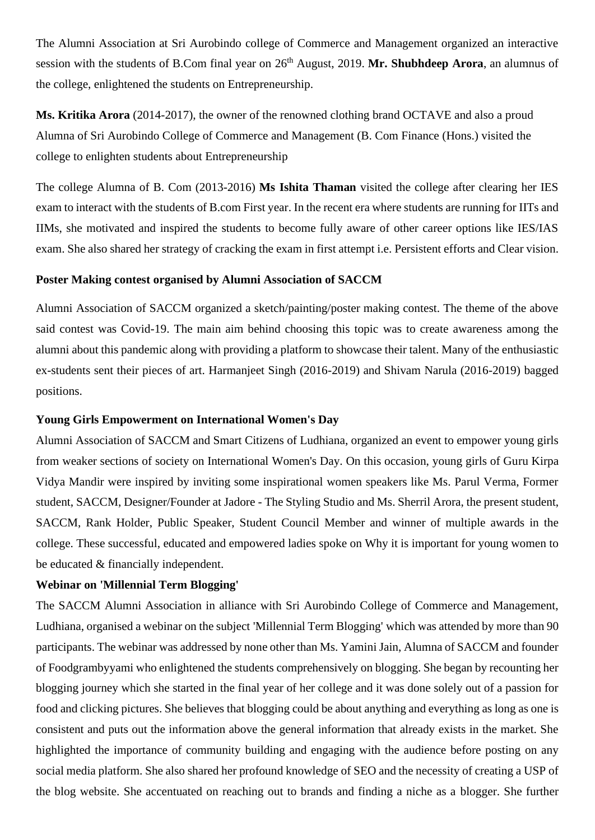The Alumni Association at Sri Aurobindo college of Commerce and Management organized an interactive session with the students of B.Com final year on 26th August, 2019. **Mr. Shubhdeep Arora**, an alumnus of the college, enlightened the students on Entrepreneurship.

**Ms. Kritika Arora** (2014-2017), the owner of the renowned clothing brand OCTAVE and also a proud Alumna of Sri Aurobindo College of Commerce and Management (B. Com Finance (Hons.) visited the college to enlighten students about Entrepreneurship

The college Alumna of B. Com (2013-2016) **Ms Ishita Thaman** visited the college after clearing her IES exam to interact with the students of B.com First year. In the recent era where students are running for IITs and IIMs, she motivated and inspired the students to become fully aware of other career options like IES/IAS exam. She also shared her strategy of cracking the exam in first attempt i.e. Persistent efforts and Clear vision.

#### **Poster Making contest organised by Alumni Association of SACCM**

Alumni Association of SACCM organized a sketch/painting/poster making contest. The theme of the above said contest was Covid-19. The main aim behind choosing this topic was to create awareness among the alumni about this pandemic along with providing a platform to showcase their talent. Many of the enthusiastic ex-students sent their pieces of art. Harmanjeet Singh (2016-2019) and Shivam Narula (2016-2019) bagged positions.

#### **Young Girls Empowerment on International Women's Day**

Alumni Association of SACCM and Smart Citizens of Ludhiana, organized an event to empower young girls from weaker sections of society on International Women's Day. On this occasion, young girls of Guru Kirpa Vidya Mandir were inspired by inviting some inspirational women speakers like Ms. Parul Verma, Former student, SACCM, Designer/Founder at Jadore - The Styling Studio and Ms. Sherril Arora, the present student, SACCM, Rank Holder, Public Speaker, Student Council Member and winner of multiple awards in the college. These successful, educated and empowered ladies spoke on Why it is important for young women to be educated & financially independent.

#### **Webinar on 'Millennial Term Blogging'**

The SACCM Alumni Association in alliance with Sri Aurobindo College of Commerce and Management, Ludhiana, organised a webinar on the subject 'Millennial Term Blogging' which was attended by more than 90 participants. The webinar was addressed by none other than Ms. Yamini Jain, Alumna of SACCM and founder of Foodgrambyyami who enlightened the students comprehensively on blogging. She began by recounting her blogging journey which she started in the final year of her college and it was done solely out of a passion for food and clicking pictures. She believes that blogging could be about anything and everything as long as one is consistent and puts out the information above the general information that already exists in the market. She highlighted the importance of community building and engaging with the audience before posting on any social media platform. She also shared her profound knowledge of SEO and the necessity of creating a USP of the blog website. She accentuated on reaching out to brands and finding a niche as a blogger. She further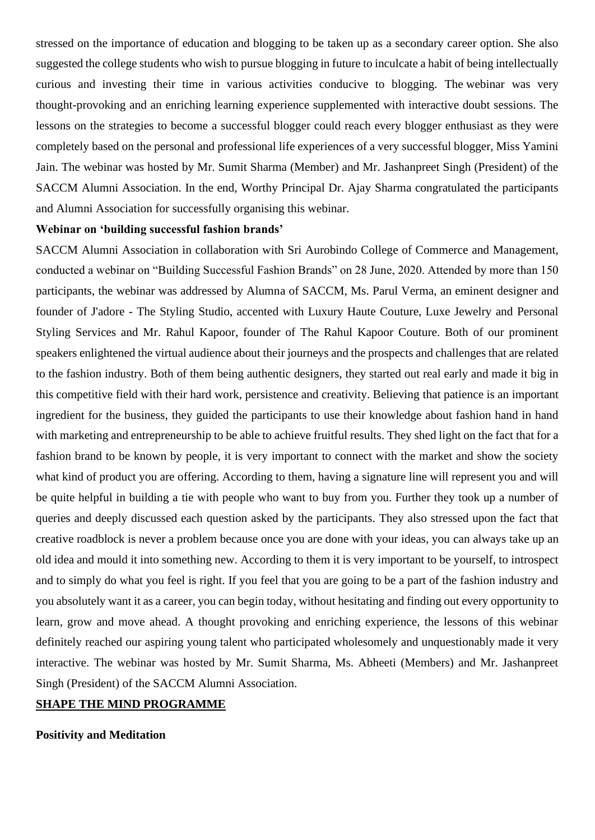stressed on the importance of education and blogging to be taken up as a secondary career option. She also suggested the college students who wish to pursue blogging in future to inculcate a habit of being intellectually curious and investing their time in various activities conducive to blogging. The webinar was very thought-provoking and an enriching learning experience supplemented with interactive doubt sessions. The lessons on the strategies to become a successful blogger could reach every blogger enthusiast as they were completely based on the personal and professional life experiences of a very successful blogger, Miss Yamini Jain. The webinar was hosted by Mr. Sumit Sharma (Member) and Mr. Jashanpreet Singh (President) of the SACCM Alumni Association. In the end, Worthy Principal Dr. Ajay Sharma congratulated the participants and Alumni Association for successfully organising this webinar.

#### **Webinar on 'building successful fashion brands'**

SACCM Alumni Association in collaboration with Sri Aurobindo College of Commerce and Management, conducted a webinar on "Building Successful Fashion Brands" on 28 June, 2020. Attended by more than 150 participants, the webinar was addressed by Alumna of SACCM, Ms. Parul Verma, an eminent designer and founder of J'adore - The Styling Studio, accented with Luxury Haute Couture, Luxe Jewelry and Personal Styling Services and Mr. Rahul Kapoor, founder of The Rahul Kapoor Couture. Both of our prominent speakers enlightened the virtual audience about their journeys and the prospects and challenges that are related to the fashion industry. Both of them being authentic designers, they started out real early and made it big in this competitive field with their hard work, persistence and creativity. Believing that patience is an important ingredient for the business, they guided the participants to use their knowledge about fashion hand in hand with marketing and entrepreneurship to be able to achieve fruitful results. They shed light on the fact that for a fashion brand to be known by people, it is very important to connect with the market and show the society what kind of product you are offering. According to them, having a signature line will represent you and will be quite helpful in building a tie with people who want to buy from you. Further they took up a number of queries and deeply discussed each question asked by the participants. They also stressed upon the fact that creative roadblock is never a problem because once you are done with your ideas, you can always take up an old idea and mould it into something new. According to them it is very important to be yourself, to introspect and to simply do what you feel is right. If you feel that you are going to be a part of the fashion industry and you absolutely want it as a career, you can begin today, without hesitating and finding out every opportunity to learn, grow and move ahead. A thought provoking and enriching experience, the lessons of this webinar definitely reached our aspiring young talent who participated wholesomely and unquestionably made it very interactive. The webinar was hosted by Mr. Sumit Sharma, Ms. Abheeti (Members) and Mr. Jashanpreet Singh (President) of the SACCM Alumni Association.

#### **SHAPE THE MIND PROGRAMME**

#### **Positivity and Meditation**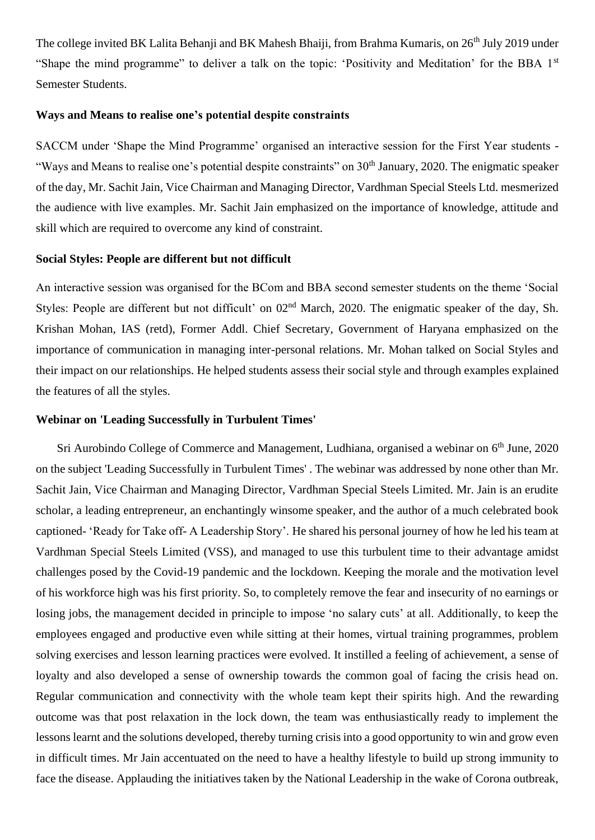The college invited BK Lalita Behanji and BK Mahesh Bhaiji, from Brahma Kumaris, on 26<sup>th</sup> July 2019 under "Shape the mind programme" to deliver a talk on the topic: 'Positivity and Meditation' for the BBA 1st Semester Students.

#### **Ways and Means to realise one's potential despite constraints**

SACCM under 'Shape the Mind Programme' organised an interactive session for the First Year students - "Ways and Means to realise one's potential despite constraints" on 30<sup>th</sup> January, 2020. The enigmatic speaker of the day, Mr. Sachit Jain, Vice Chairman and Managing Director, Vardhman Special Steels Ltd. mesmerized the audience with live examples. Mr. Sachit Jain emphasized on the importance of knowledge, attitude and skill which are required to overcome any kind of constraint.

#### **Social Styles: People are different but not difficult**

An interactive session was organised for the BCom and BBA second semester students on the theme 'Social Styles: People are different but not difficult' on  $02<sup>nd</sup>$  March, 2020. The enigmatic speaker of the day, Sh. Krishan Mohan, IAS (retd), Former Addl. Chief Secretary, Government of Haryana emphasized on the importance of communication in managing inter-personal relations. Mr. Mohan talked on Social Styles and their impact on our relationships. He helped students assess their social style and through examples explained the features of all the styles.

#### **Webinar on 'Leading Successfully in Turbulent Times'**

Sri Aurobindo College of Commerce and Management, Ludhiana, organised a webinar on 6<sup>th</sup> June, 2020 on the subject 'Leading Successfully in Turbulent Times' . The webinar was addressed by none other than Mr. Sachit Jain, Vice Chairman and Managing Director, Vardhman Special Steels Limited. Mr. Jain is an erudite scholar, a leading entrepreneur, an enchantingly winsome speaker, and the author of a much celebrated book captioned- 'Ready for Take off- A Leadership Story'. He shared his personal journey of how he led his team at Vardhman Special Steels Limited (VSS), and managed to use this turbulent time to their advantage amidst challenges posed by the Covid-19 pandemic and the lockdown. Keeping the morale and the motivation level of his workforce high was his first priority. So, to completely remove the fear and insecurity of no earnings or losing jobs, the management decided in principle to impose 'no salary cuts' at all. Additionally, to keep the employees engaged and productive even while sitting at their homes, virtual training programmes, problem solving exercises and lesson learning practices were evolved. It instilled a feeling of achievement, a sense of loyalty and also developed a sense of ownership towards the common goal of facing the crisis head on. Regular communication and connectivity with the whole team kept their spirits high. And the rewarding outcome was that post relaxation in the lock down, the team was enthusiastically ready to implement the lessons learnt and the solutions developed, thereby turning crisis into a good opportunity to win and grow even in difficult times. Mr Jain accentuated on the need to have a healthy lifestyle to build up strong immunity to face the disease. Applauding the initiatives taken by the National Leadership in the wake of Corona outbreak,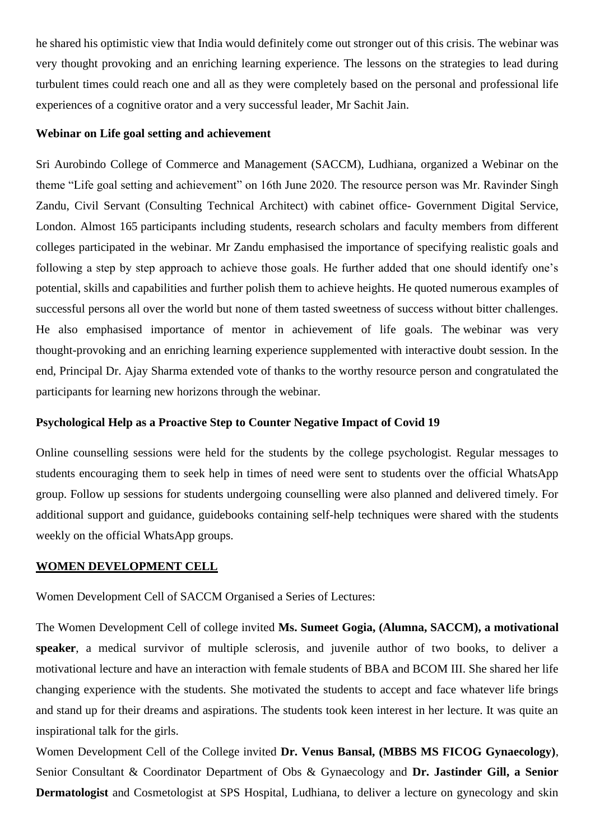he shared his optimistic view that India would definitely come out stronger out of this crisis. The webinar was very thought provoking and an enriching learning experience. The lessons on the strategies to lead during turbulent times could reach one and all as they were completely based on the personal and professional life experiences of a cognitive orator and a very successful leader, Mr Sachit Jain.

#### **Webinar on Life goal setting and achievement**

Sri Aurobindo College of Commerce and Management (SACCM), Ludhiana, organized a Webinar on the theme "Life goal setting and achievement" on 16th June 2020. The resource person was Mr. Ravinder Singh Zandu, Civil Servant (Consulting Technical Architect) with cabinet office- Government Digital Service, London. Almost 165 participants including students, research scholars and faculty members from different colleges participated in the webinar. Mr Zandu emphasised the importance of specifying realistic goals and following a step by step approach to achieve those goals. He further added that one should identify one's potential, skills and capabilities and further polish them to achieve heights. He quoted numerous examples of successful persons all over the world but none of them tasted sweetness of success without bitter challenges. He also emphasised importance of mentor in achievement of life goals. The webinar was very thought-provoking and an enriching learning experience supplemented with interactive doubt session. In the end, Principal Dr. Ajay Sharma extended vote of thanks to the worthy resource person and congratulated the participants for learning new horizons through the webinar.

#### **Psychological Help as a Proactive Step to Counter Negative Impact of Covid 19**

Online counselling sessions were held for the students by the college psychologist. Regular messages to students encouraging them to seek help in times of need were sent to students over the official WhatsApp group. Follow up sessions for students undergoing counselling were also planned and delivered timely. For additional support and guidance, guidebooks containing self-help techniques were shared with the students weekly on the official WhatsApp groups.

#### **WOMEN DEVELOPMENT CELL**

Women Development Cell of SACCM Organised a Series of Lectures:

The Women Development Cell of college invited **Ms. Sumeet Gogia, (Alumna, SACCM), a motivational speaker**, a medical survivor of multiple sclerosis, and juvenile author of two books, to deliver a motivational lecture and have an interaction with female students of BBA and BCOM III. She shared her life changing experience with the students. She motivated the students to accept and face whatever life brings and stand up for their dreams and aspirations. The students took keen interest in her lecture. It was quite an inspirational talk for the girls.

Women Development Cell of the College invited **Dr. Venus Bansal, (MBBS MS FICOG Gynaecology)**, Senior Consultant & Coordinator Department of Obs & Gynaecology and **Dr. Jastinder Gill, a Senior Dermatologist** and Cosmetologist at SPS Hospital, Ludhiana, to deliver a lecture on gynecology and skin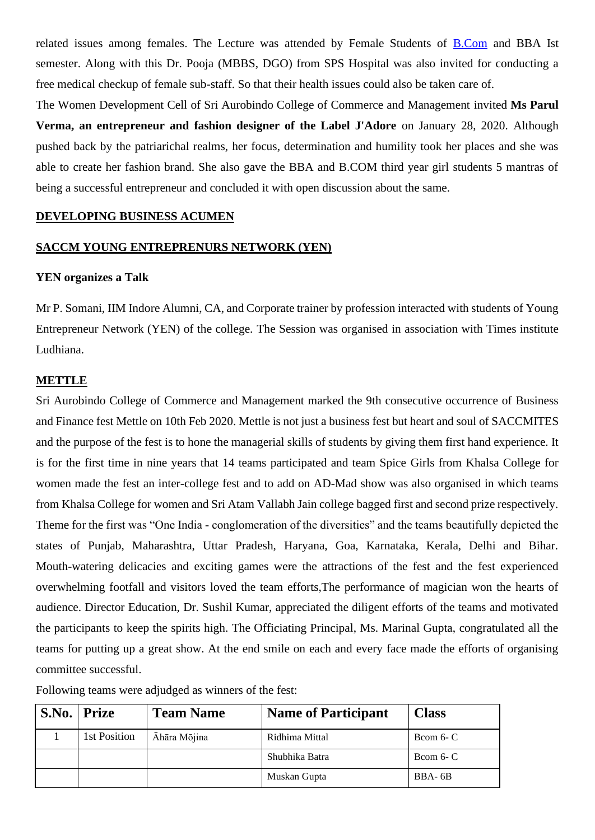related issues among females. The Lecture was attended by Female Students of [B.Com](https://l.facebook.com/l.php?u=http://B.Com/?fbclid=IwAR07Z_HIBvYNu-WyMtNnM1GwwD4PkiOhN9a0P_ar3NJzFjSIa03QvZfpSEY&h=AT0Kq5LaFm2ZOjtl_UwUDsETEUiY5nYW6y9kXCKR3_NZOEwtgB_P2y65fZUP57D6rqpw7V_v6lEE7vWzZIQSeeoW9o4iGZVwCBxsjv64x_VqPtbI-c-UtoR6Rgx7dIathEhlvAeSMggAcBDpKtQDzHDJCMtMSh94kvVQdD4eeGQ_RX1shxaMLaiCLPaNGaw71MDsLz_srIBbZVT1pLe5C6jpR3ns1thUDNBG36EKUI4P0rC5Tww6ifT9nyu3JZC8MI8kc23q3mFCWH1CTzx2UWggJVJS07dNi8MFoU9v69A4sShGvDBGJZ2Z7EEjI38Wg65t8sBzT3__ImlLCtdRB15DC0dUGmejzi3DXV5yYokhRRl6r4xN3Vdywvdauxw_yC3iANf1OmQroGpeEi6uL4ye1rxsTxugW3sY8tpOJ3gwwXUuA9xxf4y3sFwbM8Mlth9te8DFyCHcLqep5XeZiCqWlpOADiBY_8hMfeiX0zj_gj0xgDVqKsvKM-GV8iENFBG3PfARJGKxF9wThD_ZyXm_D0EbVcTiyrOGNcrNiD5yKbO2XtBVm7HWOHdAuL6TrOw3nV8IqWn1o0kOCm9jLGoTONYZjQzf89U-E4XFpco4so-Gnk3bRvoRF6lWLJW1CW1SuF0) and BBA Ist semester. Along with this Dr. Pooja (MBBS, DGO) from SPS Hospital was also invited for conducting a free medical checkup of female sub-staff. So that their health issues could also be taken care of.

The Women Development Cell of Sri Aurobindo College of Commerce and Management invited **Ms Parul Verma, an entrepreneur and fashion designer of the Label J'Adore** on January 28, 2020. Although pushed back by the patriarichal realms, her focus, determination and humility took her places and she was able to create her fashion brand. She also gave the BBA and B.COM third year girl students 5 mantras of being a successful entrepreneur and concluded it with open discussion about the same.

#### **DEVELOPING BUSINESS ACUMEN**

#### **SACCM YOUNG ENTREPRENURS NETWORK (YEN)**

#### **YEN organizes a Talk**

Mr P. Somani, IIM Indore Alumni, CA, and Corporate trainer by profession interacted with students of Young Entrepreneur Network (YEN) of the college. The Session was organised in association with Times institute Ludhiana.

#### **METTLE**

Sri Aurobindo College of Commerce and Management marked the 9th consecutive occurrence of Business and Finance fest Mettle on 10th Feb 2020. Mettle is not just a business fest but heart and soul of SACCMITES and the purpose of the fest is to hone the managerial skills of students by giving them first hand experience. It is for the first time in nine years that 14 teams participated and team Spice Girls from Khalsa College for women made the fest an inter-college fest and to add on AD-Mad show was also organised in which teams from Khalsa College for women and Sri Atam Vallabh Jain college bagged first and second prize respectively. Theme for the first was "One India - conglomeration of the diversities" and the teams beautifully depicted the states of Punjab, Maharashtra, Uttar Pradesh, Haryana, Goa, Karnataka, Kerala, Delhi and Bihar. Mouth-watering delicacies and exciting games were the attractions of the fest and the fest experienced overwhelming footfall and visitors loved the team efforts,The performance of magician won the hearts of audience. Director Education, Dr. Sushil Kumar, appreciated the diligent efforts of the teams and motivated the participants to keep the spirits high. The Officiating Principal, Ms. Marinal Gupta, congratulated all the teams for putting up a great show. At the end smile on each and every face made the efforts of organising committee successful.

Following teams were adjudged as winners of the fest:

| S.No. | Prize        | <b>Team Name</b> | <b>Name of Participant</b> | <b>Class</b> |
|-------|--------------|------------------|----------------------------|--------------|
|       | 1st Position | Āhāra Mōjina     | Ridhima Mittal             | Bcom $6 - C$ |
|       |              |                  | Shubhika Batra             | Bcom $6 - C$ |
|       |              |                  | Muskan Gupta               | BBA-6B       |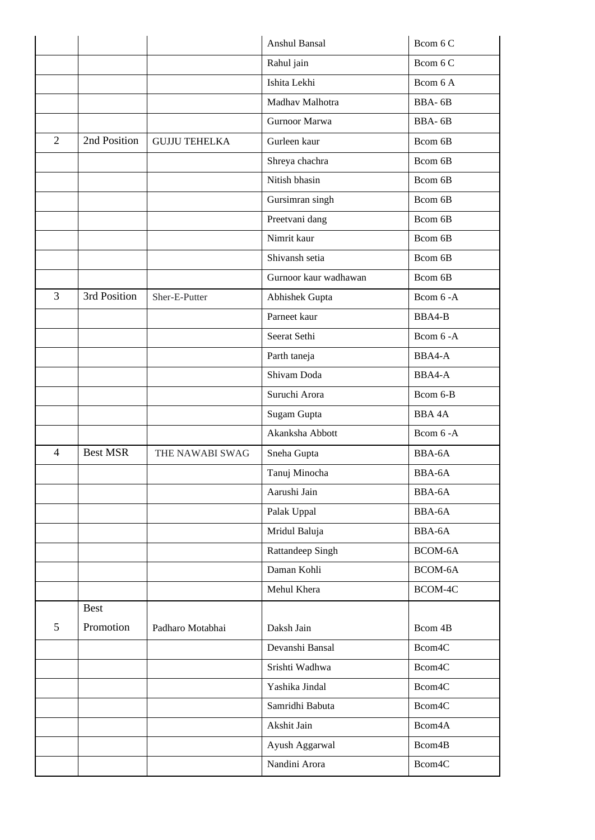|                |                 |                      | Anshul Bansal         | Bcom 6 C            |
|----------------|-----------------|----------------------|-----------------------|---------------------|
|                |                 |                      | Rahul jain            | Bcom 6 C            |
|                |                 |                      | Ishita Lekhi          | Bcom 6 A            |
|                |                 |                      | Madhav Malhotra       | BBA-6B              |
|                |                 |                      | Gurnoor Marwa         | BBA-6B              |
| $\overline{2}$ | 2nd Position    | <b>GUJJU TEHELKA</b> | Gurleen kaur          | Bcom 6B             |
|                |                 |                      | Shreya chachra        | Bcom 6B             |
|                |                 |                      | Nitish bhasin         | Bcom 6B             |
|                |                 |                      | Gursimran singh       | Bcom 6B             |
|                |                 |                      | Preetvani dang        | Bcom 6B             |
|                |                 |                      | Nimrit kaur           | Bcom 6B             |
|                |                 |                      | Shivansh setia        | Bcom 6B             |
|                |                 |                      | Gurnoor kaur wadhawan | Bcom 6B             |
| $\overline{3}$ | 3rd Position    | Sher-E-Putter        | Abhishek Gupta        | Bcom 6 - A          |
|                |                 |                      | Parneet kaur          | BBA4-B              |
|                |                 |                      | Seerat Sethi          | Bcom 6 - A          |
|                |                 |                      | Parth taneja          | BBA4-A              |
|                |                 |                      | Shivam Doda           | BBA4-A              |
|                |                 |                      | Suruchi Arora         | Bcom 6-B            |
|                |                 |                      | Sugam Gupta           | <b>BBA4A</b>        |
|                |                 |                      | Akanksha Abbott       | Bcom 6-A            |
| $\overline{4}$ | <b>Best MSR</b> | THE NAWABI SWAG      | Sneha Gupta           | BBA-6A              |
|                |                 |                      | Tanuj Minocha         | BBA-6A              |
|                |                 |                      | Aarushi Jain          | BBA-6A              |
|                |                 |                      | Palak Uppal           | BBA-6A              |
|                |                 |                      | Mridul Baluja         | BBA-6A              |
|                |                 |                      | Rattandeep Singh      | BCOM-6A             |
|                |                 |                      | Daman Kohli           | BCOM-6A             |
|                |                 |                      | Mehul Khera           | BCOM-4C             |
|                | <b>Best</b>     |                      |                       |                     |
| 5              | Promotion       | Padharo Motabhai     | Daksh Jain            | Bcom 4B             |
|                |                 |                      | Devanshi Bansal       | Bcom4C              |
|                |                 |                      | Srishti Wadhwa        | Bcom4C              |
|                |                 |                      | Yashika Jindal        | Bcom4C              |
|                |                 |                      | Samridhi Babuta       | Bcom4C              |
|                |                 |                      | Akshit Jain           | Bcom4A              |
|                |                 |                      | Ayush Aggarwal        | Bcom <sub>4</sub> B |
|                |                 |                      | Nandini Arora         | Bcom4C              |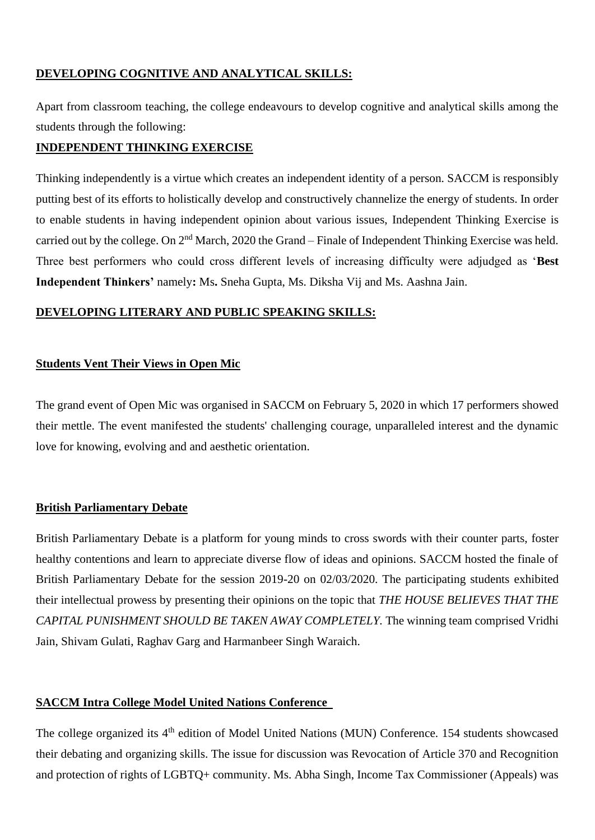### **DEVELOPING COGNITIVE AND ANALYTICAL SKILLS:**

Apart from classroom teaching, the college endeavours to develop cognitive and analytical skills among the students through the following:

#### **INDEPENDENT THINKING EXERCISE**

Thinking independently is a virtue which creates an independent identity of a person. SACCM is responsibly putting best of its efforts to holistically develop and constructively channelize the energy of students. In order to enable students in having independent opinion about various issues, Independent Thinking Exercise is carried out by the college. On 2nd March, 2020 the Grand – Finale of Independent Thinking Exercise was held. Three best performers who could cross different levels of increasing difficulty were adjudged as '**Best Independent Thinkers'** namely**:** Ms**.** Sneha Gupta, Ms. Diksha Vij and Ms. Aashna Jain.

#### **DEVELOPING LITERARY AND PUBLIC SPEAKING SKILLS:**

### **Students Vent Their Views in Open Mic**

The grand event of Open Mic was organised in SACCM on February 5, 2020 in which 17 performers showed their mettle. The event manifested the students' challenging courage, unparalleled interest and the dynamic love for knowing, evolving and and aesthetic orientation.

#### **British Parliamentary Debate**

British Parliamentary Debate is a platform for young minds to cross swords with their counter parts, foster healthy contentions and learn to appreciate diverse flow of ideas and opinions. SACCM hosted the finale of British Parliamentary Debate for the session 2019-20 on 02/03/2020. The participating students exhibited their intellectual prowess by presenting their opinions on the topic that *THE HOUSE BELIEVES THAT THE CAPITAL PUNISHMENT SHOULD BE TAKEN AWAY COMPLETELY.* The winning team comprised Vridhi Jain, Shivam Gulati, Raghav Garg and Harmanbeer Singh Waraich.

#### **SACCM Intra College Model United Nations Conference**

The college organized its 4<sup>th</sup> edition of Model United Nations (MUN) Conference. 154 students showcased their debating and organizing skills. The issue for discussion was Revocation of Article 370 and Recognition and protection of rights of LGBTQ+ community. Ms. Abha Singh, Income Tax Commissioner (Appeals) was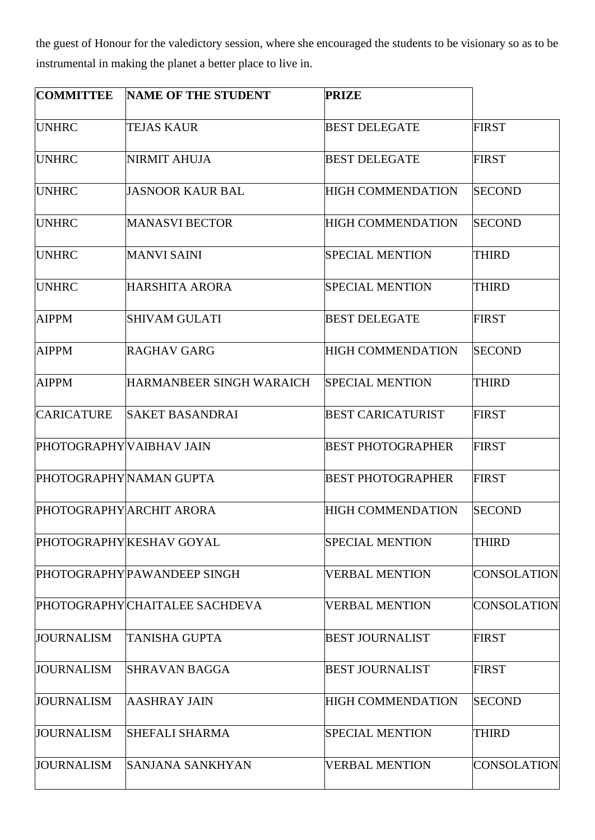the guest of Honour for the valedictory session, where she encouraged the students to be visionary so as to be instrumental in making the planet a better place to live in.

| <b>COMMITTEE</b>         | <b>NAME OF THE STUDENT</b>     | <b>PRIZE</b>             |                    |
|--------------------------|--------------------------------|--------------------------|--------------------|
| <b>UNHRC</b>             | <b>TEJAS KAUR</b>              | <b>BEST DELEGATE</b>     | <b>FIRST</b>       |
| <b>UNHRC</b>             | NIRMIT AHUJA                   | <b>BEST DELEGATE</b>     | <b>FIRST</b>       |
| <b>UNHRC</b>             | <b>JASNOOR KAUR BAL</b>        | <b>HIGH COMMENDATION</b> | <b>SECOND</b>      |
| <b>UNHRC</b>             | <b>MANASVI BECTOR</b>          | <b>HIGH COMMENDATION</b> | <b>SECOND</b>      |
| <b>UNHRC</b>             | <b>MANVI SAINI</b>             | <b>SPECIAL MENTION</b>   | <b>THIRD</b>       |
| <b>UNHRC</b>             | HARSHITA ARORA                 | <b>SPECIAL MENTION</b>   | <b>THIRD</b>       |
| <b>AIPPM</b>             | <b>SHIVAM GULATI</b>           | <b>BEST DELEGATE</b>     | <b>FIRST</b>       |
| <b>AIPPM</b>             | RAGHAV GARG                    | <b>HIGH COMMENDATION</b> | <b>SECOND</b>      |
| <b>AIPPM</b>             | HARMANBEER SINGH WARAICH       | <b>SPECIAL MENTION</b>   | THIRD              |
| <b>CARICATURE</b>        | <b>SAKET BASANDRAI</b>         | <b>BEST CARICATURIST</b> | <b>FIRST</b>       |
| PHOTOGRAPHY VAIBHAV JAIN |                                | BEST PHOTOGRAPHER        | <b>FIRST</b>       |
|                          | PHOTOGRAPHY NAMAN GUPTA        | <b>BEST PHOTOGRAPHER</b> | <b>FIRST</b>       |
|                          | PHOTOGRAPHY ARCHIT ARORA       | <b>HIGH COMMENDATION</b> | <b>SECOND</b>      |
|                          | PHOTOGRAPHY KESHAV GOYAL       | <b>SPECIAL MENTION</b>   | <b>THIRD</b>       |
|                          | PHOTOGRAPHY PAWANDEEP SINGH    | <b>VERBAL MENTION</b>    | <b>CONSOLATION</b> |
|                          | PHOTOGRAPHY CHAITALEE SACHDEVA | <b>VERBAL MENTION</b>    | <b>CONSOLATION</b> |
| <b>JOURNALISM</b>        | <b>TANISHA GUPTA</b>           | <b>BEST JOURNALIST</b>   | <b>FIRST</b>       |
| <b>JOURNALISM</b>        | <b>SHRAVAN BAGGA</b>           | <b>BEST JOURNALIST</b>   | <b>FIRST</b>       |
| <b>JOURNALISM</b>        | <b>AASHRAY JAIN</b>            | <b>HIGH COMMENDATION</b> | <b>SECOND</b>      |
| <b>JOURNALISM</b>        | SHEFALI SHARMA                 | <b>SPECIAL MENTION</b>   | <b>THIRD</b>       |
| <b>JOURNALISM</b>        | SANJANA SANKHYAN               | <b>VERBAL MENTION</b>    | <b>CONSOLATION</b> |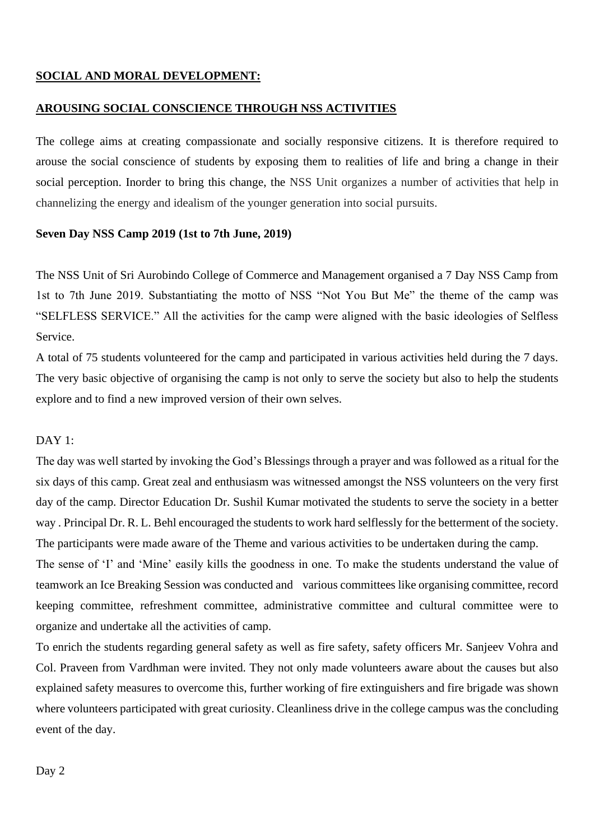#### **SOCIAL AND MORAL DEVELOPMENT:**

#### **AROUSING SOCIAL CONSCIENCE THROUGH NSS ACTIVITIES**

The college aims at creating compassionate and socially responsive citizens. It is therefore required to arouse the social conscience of students by exposing them to realities of life and bring a change in their social perception. Inorder to bring this change, the NSS Unit organizes a number of activities that help in channelizing the energy and idealism of the younger generation into social pursuits.

#### **Seven Day NSS Camp 2019 (1st to 7th June, 2019)**

The NSS Unit of Sri Aurobindo College of Commerce and Management organised a 7 Day NSS Camp from 1st to 7th June 2019. Substantiating the motto of NSS "Not You But Me" the theme of the camp was "SELFLESS SERVICE." All the activities for the camp were aligned with the basic ideologies of Selfless Service.

A total of 75 students volunteered for the camp and participated in various activities held during the 7 days. The very basic objective of organising the camp is not only to serve the society but also to help the students explore and to find a new improved version of their own selves.

#### DAY<sub>1</sub>:

The day was well started by invoking the God's Blessings through a prayer and was followed as a ritual for the six days of this camp. Great zeal and enthusiasm was witnessed amongst the NSS volunteers on the very first day of the camp. Director Education Dr. Sushil Kumar motivated the students to serve the society in a better way . Principal Dr. R. L. Behl encouraged the students to work hard selflessly for the betterment of the society. The participants were made aware of the Theme and various activities to be undertaken during the camp.

The sense of 'I' and 'Mine' easily kills the goodness in one. To make the students understand the value of teamwork an Ice Breaking Session was conducted and various committees like organising committee, record keeping committee, refreshment committee, administrative committee and cultural committee were to organize and undertake all the activities of camp.

To enrich the students regarding general safety as well as fire safety, safety officers Mr. Sanjeev Vohra and Col. Praveen from Vardhman were invited. They not only made volunteers aware about the causes but also explained safety measures to overcome this, further working of fire extinguishers and fire brigade was shown where volunteers participated with great curiosity. Cleanliness drive in the college campus was the concluding event of the day.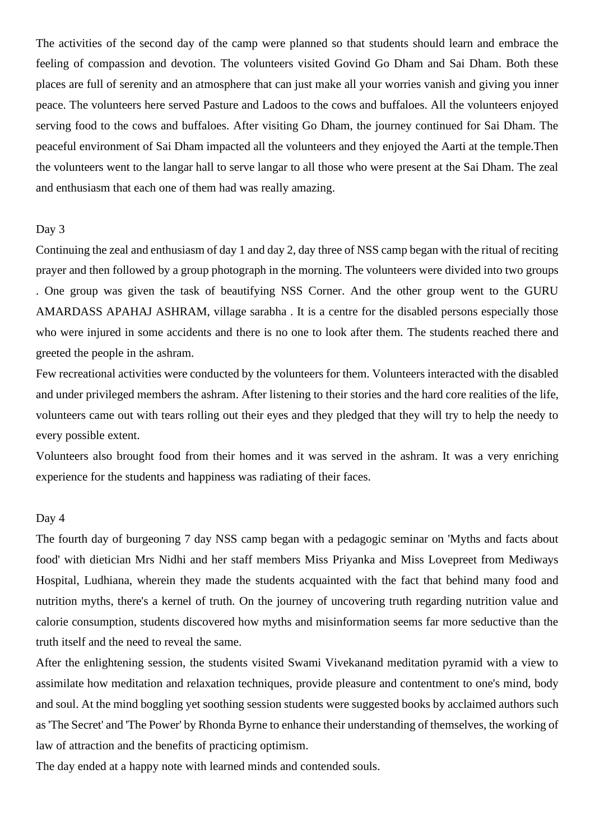The activities of the second day of the camp were planned so that students should learn and embrace the feeling of compassion and devotion. The volunteers visited Govind Go Dham and Sai Dham. Both these places are full of serenity and an atmosphere that can just make all your worries vanish and giving you inner peace. The volunteers here served Pasture and Ladoos to the cows and buffaloes. All the volunteers enjoyed serving food to the cows and buffaloes. After visiting Go Dham, the journey continued for Sai Dham. The peaceful environment of Sai Dham impacted all the volunteers and they enjoyed the Aarti at the temple.Then the volunteers went to the langar hall to serve langar to all those who were present at the Sai Dham. The zeal and enthusiasm that each one of them had was really amazing.

#### Day 3

Continuing the zeal and enthusiasm of day 1 and day 2, day three of NSS camp began with the ritual of reciting prayer and then followed by a group photograph in the morning. The volunteers were divided into two groups . One group was given the task of beautifying NSS Corner. And the other group went to the GURU AMARDASS APAHAJ ASHRAM, village sarabha . It is a centre for the disabled persons especially those who were injured in some accidents and there is no one to look after them. The students reached there and greeted the people in the ashram.

Few recreational activities were conducted by the volunteers for them. Volunteers interacted with the disabled and under privileged members the ashram. After listening to their stories and the hard core realities of the life, volunteers came out with tears rolling out their eyes and they pledged that they will try to help the needy to every possible extent.

Volunteers also brought food from their homes and it was served in the ashram. It was a very enriching experience for the students and happiness was radiating of their faces.

#### Day 4

The fourth day of burgeoning 7 day NSS camp began with a pedagogic seminar on 'Myths and facts about food' with dietician Mrs Nidhi and her staff members Miss Priyanka and Miss Lovepreet from Mediways Hospital, Ludhiana, wherein they made the students acquainted with the fact that behind many food and nutrition myths, there's a kernel of truth. On the journey of uncovering truth regarding nutrition value and calorie consumption, students discovered how myths and misinformation seems far more seductive than the truth itself and the need to reveal the same.

After the enlightening session, the students visited Swami Vivekanand meditation pyramid with a view to assimilate how meditation and relaxation techniques, provide pleasure and contentment to one's mind, body and soul. At the mind boggling yet soothing session students were suggested books by acclaimed authors such as 'The Secret' and 'The Power' by Rhonda Byrne to enhance their understanding of themselves, the working of law of attraction and the benefits of practicing optimism.

The day ended at a happy note with learned minds and contended souls.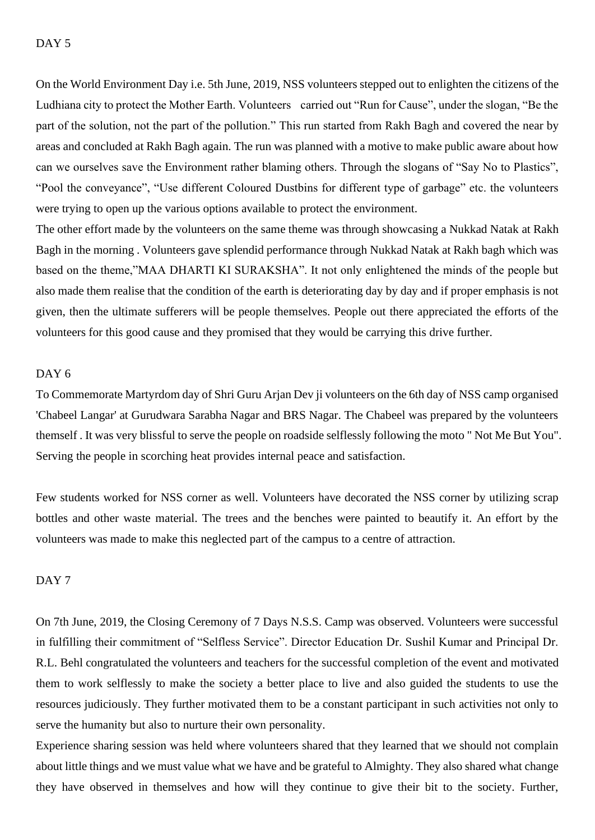On the World Environment Day i.e. 5th June, 2019, NSS volunteers stepped out to enlighten the citizens of the Ludhiana city to protect the Mother Earth. Volunteers carried out "Run for Cause", under the slogan, "Be the part of the solution, not the part of the pollution." This run started from Rakh Bagh and covered the near by areas and concluded at Rakh Bagh again. The run was planned with a motive to make public aware about how can we ourselves save the Environment rather blaming others. Through the slogans of "Say No to Plastics", "Pool the conveyance", "Use different Coloured Dustbins for different type of garbage" etc. the volunteers were trying to open up the various options available to protect the environment.

The other effort made by the volunteers on the same theme was through showcasing a Nukkad Natak at Rakh Bagh in the morning . Volunteers gave splendid performance through Nukkad Natak at Rakh bagh which was based on the theme,"MAA DHARTI KI SURAKSHA". It not only enlightened the minds of the people but also made them realise that the condition of the earth is deteriorating day by day and if proper emphasis is not given, then the ultimate sufferers will be people themselves. People out there appreciated the efforts of the volunteers for this good cause and they promised that they would be carrying this drive further.

#### DAY<sub>6</sub>

To Commemorate Martyrdom day of Shri Guru Arjan Dev ji volunteers on the 6th day of NSS camp organised 'Chabeel Langar' at Gurudwara Sarabha Nagar and BRS Nagar. The Chabeel was prepared by the volunteers themself . It was very blissful to serve the people on roadside selflessly following the moto " Not Me But You". Serving the people in scorching heat provides internal peace and satisfaction.

Few students worked for NSS corner as well. Volunteers have decorated the NSS corner by utilizing scrap bottles and other waste material. The trees and the benches were painted to beautify it. An effort by the volunteers was made to make this neglected part of the campus to a centre of attraction.

#### DAY<sub>7</sub>

On 7th June, 2019, the Closing Ceremony of 7 Days N.S.S. Camp was observed. Volunteers were successful in fulfilling their commitment of "Selfless Service". Director Education Dr. Sushil Kumar and Principal Dr. R.L. Behl congratulated the volunteers and teachers for the successful completion of the event and motivated them to work selflessly to make the society a better place to live and also guided the students to use the resources judiciously. They further motivated them to be a constant participant in such activities not only to serve the humanity but also to nurture their own personality.

Experience sharing session was held where volunteers shared that they learned that we should not complain about little things and we must value what we have and be grateful to Almighty. They also shared what change they have observed in themselves and how will they continue to give their bit to the society. Further,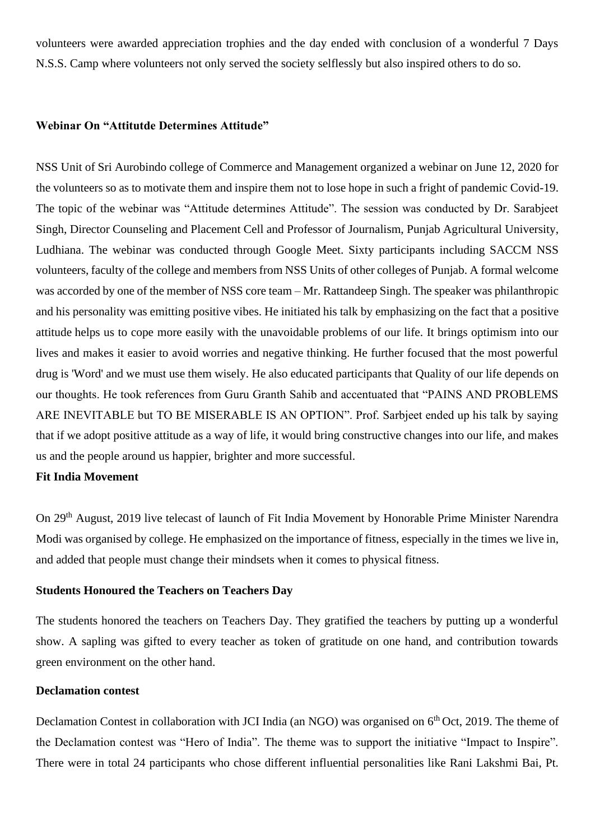volunteers were awarded appreciation trophies and the day ended with conclusion of a wonderful 7 Days N.S.S. Camp where volunteers not only served the society selflessly but also inspired others to do so.

#### **Webinar On "Attitutde Determines Attitude"**

NSS Unit of Sri Aurobindo college of Commerce and Management organized a webinar on June 12, 2020 for the volunteers so as to motivate them and inspire them not to lose hope in such a fright of pandemic Covid-19. The topic of the webinar was "Attitude determines Attitude". The session was conducted by Dr. Sarabjeet Singh, Director Counseling and Placement Cell and Professor of Journalism, Punjab Agricultural University, Ludhiana. The webinar was conducted through Google Meet. Sixty participants including SACCM NSS volunteers, faculty of the college and members from NSS Units of other colleges of Punjab. A formal welcome was accorded by one of the member of NSS core team – Mr. Rattandeep Singh. The speaker was philanthropic and his personality was emitting positive vibes. He initiated his talk by emphasizing on the fact that a positive attitude helps us to cope more easily with the unavoidable problems of our life. It brings optimism into our lives and makes it easier to avoid worries and negative thinking. He further focused that the most powerful drug is 'Word' and we must use them wisely. He also educated participants that Quality of our life depends on our thoughts. He took references from Guru Granth Sahib and accentuated that "PAINS AND PROBLEMS ARE INEVITABLE but TO BE MISERABLE IS AN OPTION". Prof. Sarbjeet ended up his talk by saying that if we adopt positive attitude as a way of life, it would bring constructive changes into our life, and makes us and the people around us happier, brighter and more successful.

#### **Fit India Movement**

On 29<sup>th</sup> August, 2019 live telecast of launch of Fit India Movement by Honorable Prime Minister Narendra Modi was organised by college. He emphasized on the importance of fitness, especially in the times we live in, and added that people must change their mindsets when it comes to physical fitness.

#### **Students Honoured the Teachers on Teachers Day**

The students honored the teachers on Teachers Day. They gratified the teachers by putting up a wonderful show. A sapling was gifted to every teacher as token of gratitude on one hand, and contribution towards green environment on the other hand.

#### **Declamation contest**

Declamation Contest in collaboration with JCI India (an NGO) was organised on  $6<sup>th</sup>$  Oct, 2019. The theme of the Declamation contest was "Hero of India". The theme was to support the initiative "Impact to Inspire". There were in total 24 participants who chose different influential personalities like Rani Lakshmi Bai, Pt.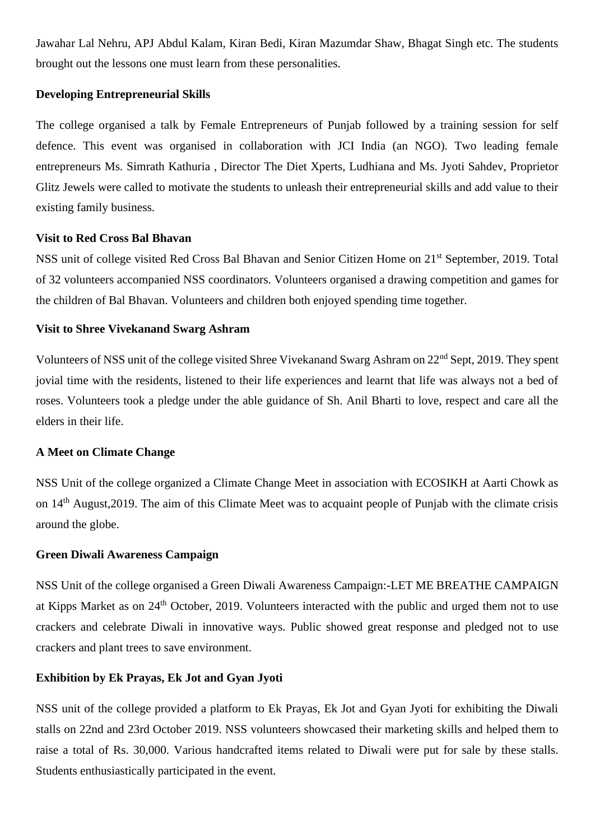Jawahar Lal Nehru, APJ Abdul Kalam, Kiran Bedi, Kiran Mazumdar Shaw, Bhagat Singh etc. The students brought out the lessons one must learn from these personalities.

#### **Developing Entrepreneurial Skills**

The college organised a talk by Female Entrepreneurs of Punjab followed by a training session for self defence. This event was organised in collaboration with JCI India (an NGO). Two leading female entrepreneurs Ms. Simrath Kathuria , Director The Diet Xperts, Ludhiana and Ms. Jyoti Sahdev, Proprietor Glitz Jewels were called to motivate the students to unleash their entrepreneurial skills and add value to their existing family business.

#### **Visit to Red Cross Bal Bhavan**

NSS unit of college visited Red Cross Bal Bhavan and Senior Citizen Home on 21st September, 2019. Total of 32 volunteers accompanied NSS coordinators. Volunteers organised a drawing competition and games for the children of Bal Bhavan. Volunteers and children both enjoyed spending time together.

#### **Visit to Shree Vivekanand Swarg Ashram**

Volunteers of NSS unit of the college visited Shree Vivekanand Swarg Ashram on 22<sup>nd</sup> Sept, 2019. They spent jovial time with the residents, listened to their life experiences and learnt that life was always not a bed of roses. Volunteers took a pledge under the able guidance of Sh. Anil Bharti to love, respect and care all the elders in their life.

#### **A Meet on Climate Change**

NSS Unit of the college organized a Climate Change Meet in association with ECOSIKH at Aarti Chowk as on 14<sup>th</sup> August, 2019. The aim of this Climate Meet was to acquaint people of Punjab with the climate crisis around the globe.

#### **Green Diwali Awareness Campaign**

NSS Unit of the college organised a Green Diwali Awareness Campaign:-LET ME BREATHE CAMPAIGN at Kipps Market as on 24<sup>th</sup> October, 2019. Volunteers interacted with the public and urged them not to use crackers and celebrate Diwali in innovative ways. Public showed great response and pledged not to use crackers and plant trees to save environment.

#### **Exhibition by Ek Prayas, Ek Jot and Gyan Jyoti**

NSS unit of the college provided a platform to Ek Prayas, Ek Jot and Gyan Jyoti for exhibiting the Diwali stalls on 22nd and 23rd October 2019. NSS volunteers showcased their marketing skills and helped them to raise a total of Rs. 30,000. Various handcrafted items related to Diwali were put for sale by these stalls. Students enthusiastically participated in the event.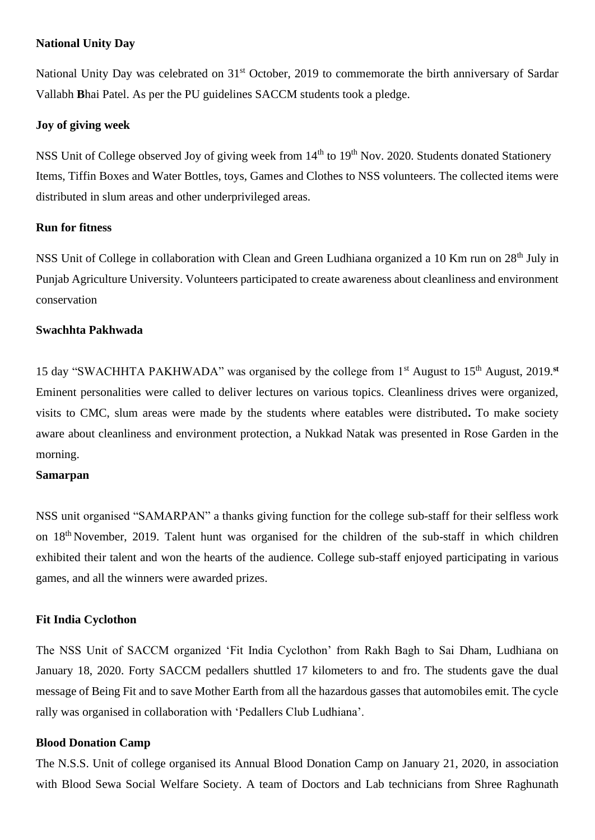#### **National Unity Day**

National Unity Day was celebrated on 31<sup>st</sup> October, 2019 to commemorate the birth anniversary of Sardar Vallabh **B**hai Patel. As per the PU guidelines SACCM students took a pledge.

#### **Joy of giving week**

NSS Unit of College observed Joy of giving week from 14<sup>th</sup> to 19<sup>th</sup> Nov. 2020. Students donated Stationery Items, Tiffin Boxes and Water Bottles, toys, Games and Clothes to NSS volunteers. The collected items were distributed in slum areas and other underprivileged areas.

#### **Run for fitness**

NSS Unit of College in collaboration with Clean and Green Ludhiana organized a 10 Km run on 28<sup>th</sup> July in Punjab Agriculture University. Volunteers participated to create awareness about cleanliness and environment conservation

#### **Swachhta Pakhwada**

15 day "SWACHHTA PAKHWADA" was organised by the college from 1st August to 15th August, 2019.**st** Eminent personalities were called to deliver lectures on various topics. Cleanliness drives were organized, visits to CMC, slum areas were made by the students where eatables were distributed**.** To make society aware about cleanliness and environment protection, a Nukkad Natak was presented in Rose Garden in the morning.

#### **Samarpan**

NSS unit organised "SAMARPAN" a thanks giving function for the college sub-staff for their selfless work on 18<sup>th</sup> November, 2019. Talent hunt was organised for the children of the sub-staff in which children exhibited their talent and won the hearts of the audience. College sub-staff enjoyed participating in various games, and all the winners were awarded prizes.

#### **Fit India Cyclothon**

The NSS Unit of SACCM organized 'Fit India Cyclothon' from Rakh Bagh to Sai Dham, Ludhiana on January 18, 2020. Forty SACCM pedallers shuttled 17 kilometers to and fro. The students gave the dual message of Being Fit and to save Mother Earth from all the hazardous gasses that automobiles emit. The cycle rally was organised in collaboration with 'Pedallers Club Ludhiana'.

#### **Blood Donation Camp**

The N.S.S. Unit of college organised its Annual Blood Donation Camp on January 21, 2020, in association with Blood Sewa Social Welfare Society. A team of Doctors and Lab technicians from Shree Raghunath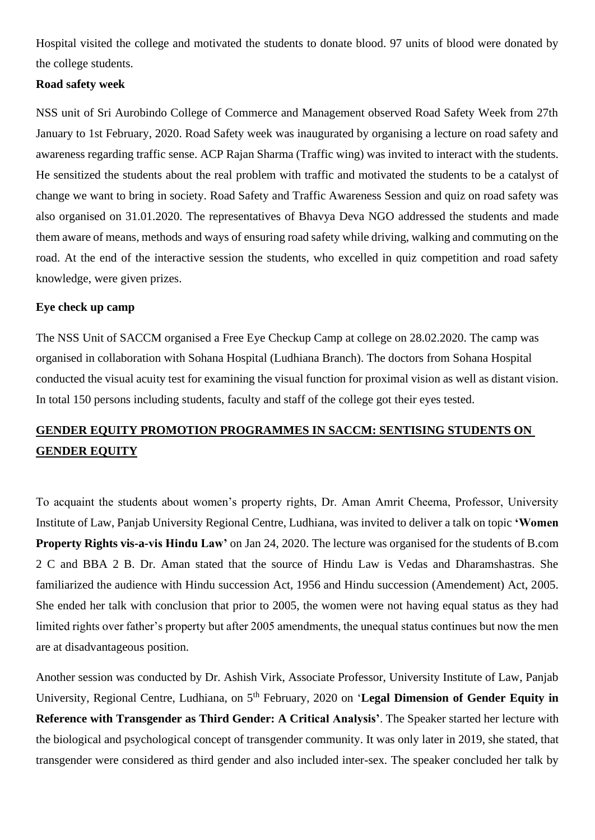Hospital visited the college and motivated the students to donate blood. 97 units of blood were donated by the college students.

#### **Road safety week**

NSS unit of Sri Aurobindo College of Commerce and Management observed Road Safety Week from 27th January to 1st February, 2020. Road Safety week was inaugurated by organising a lecture on road safety and awareness regarding traffic sense. ACP Rajan Sharma (Traffic wing) was invited to interact with the students. He sensitized the students about the real problem with traffic and motivated the students to be a catalyst of change we want to bring in society. Road Safety and Traffic Awareness Session and quiz on road safety was also organised on 31.01.2020. The representatives of Bhavya Deva NGO addressed the students and made them aware of means, methods and ways of ensuring road safety while driving, walking and commuting on the road. At the end of the interactive session the students, who excelled in quiz competition and road safety knowledge, were given prizes.

#### **Eye check up camp**

The NSS Unit of SACCM organised a Free Eye Checkup Camp at college on 28.02.2020. The camp was organised in collaboration with Sohana Hospital (Ludhiana Branch). The doctors from Sohana Hospital conducted the visual acuity test for examining the visual function for proximal vision as well as distant vision. In total 150 persons including students, faculty and staff of the college got their eyes tested.

# **GENDER EQUITY PROMOTION PROGRAMMES IN SACCM: SENTISING STUDENTS ON GENDER EQUITY**

To acquaint the students about women's property rights, Dr. Aman Amrit Cheema, Professor, University Institute of Law, Panjab University Regional Centre, Ludhiana, was invited to deliver a talk on topic **'Women Property Rights vis-a-vis Hindu Law'** on Jan 24, 2020. The lecture was organised for the students of B.com 2 C and BBA 2 B. Dr. Aman stated that the source of Hindu Law is Vedas and Dharamshastras. She familiarized the audience with Hindu succession Act, 1956 and Hindu succession (Amendement) Act, 2005. She ended her talk with conclusion that prior to 2005, the women were not having equal status as they had limited rights over father's property but after 2005 amendments, the unequal status continues but now the men are at disadvantageous position.

Another session was conducted by Dr. Ashish Virk, Associate Professor, University Institute of Law, Panjab University, Regional Centre, Ludhiana, on 5<sup>th</sup> February, 2020 on '**Legal Dimension of Gender Equity in Reference with Transgender as Third Gender: A Critical Analysis'**. The Speaker started her lecture with the biological and psychological [concept of t](https://www.rediffmail.com/cgi-bin/red.cgi?red=http%3A%2F%2Fconcept%2Eit&isImage=0&BlockImage=0&rediffng=0&rogue=9d5ad5ac3c8cdd8c5ab90046c97420c394bbb919&rdf=UW5WNQB0AlgBblcwC2xXNA==)ransgender community. It was only later in 2019, she stated, that transgender were considered as third gender and also included inter-sex. The speaker concluded her talk by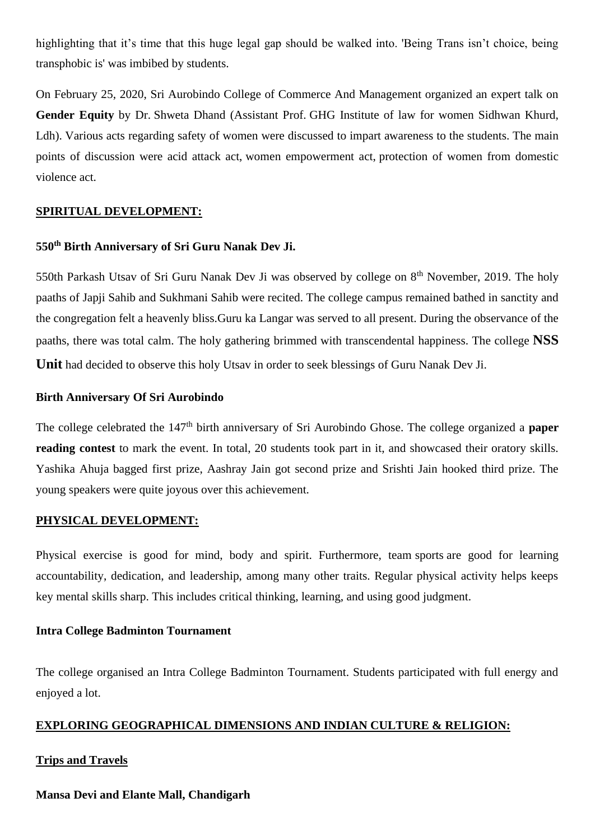highlighting that it's time that this huge legal gap should be walked into. 'Being Trans isn't choice, being transphobic is' was imbibed by students.

On February 25, 2020, Sri Aurobindo College of Commerce And Management organized an expert talk on **Gender Equity** by Dr. Shweta Dhand (Assistant Prof. GHG Institute of law for women Sidhwan Khurd, Ldh). Various acts regarding safety of women were discussed to impart awareness to the students. The main points of discussion were acid attack act, women empowerment act, protection of women from domestic violence act.

#### **SPIRITUAL DEVELOPMENT:**

#### **550th Birth Anniversary of Sri Guru Nanak Dev Ji.**

550th Parkash Utsav of Sri Guru Nanak Dev Ji was observed by college on 8<sup>th</sup> November, 2019. The holy paaths of Japji Sahib and Sukhmani Sahib were recited. The college campus remained bathed in sanctity and the congregation felt a heavenly bliss.Guru ka Langar was served to all present. During the observance of the paaths, there was total calm. The holy gathering brimmed with transcendental happiness. The college **NSS Unit** had decided to observe this holy Utsav in order to seek blessings of Guru Nanak Dev Ji.

#### **Birth Anniversary Of Sri Aurobindo**

The college celebrated the 147<sup>th</sup> birth anniversary of Sri Aurobindo Ghose. The college organized a **paper reading contest** to mark the event. In total, 20 students took part in it, and showcased their oratory skills. Yashika Ahuja bagged first prize, Aashray Jain got second prize and Srishti Jain hooked third prize. The young speakers were quite joyous over this achievement.

#### **PHYSICAL DEVELOPMENT:**

Physical exercise is good for mind, body and spirit. Furthermore, team sports are good for learning accountability, dedication, and leadership, among many other traits. Regular physical activity helps keeps key mental skills sharp. This includes critical thinking, learning, and using good judgment.

#### **Intra College Badminton Tournament**

The college organised an Intra College Badminton Tournament. Students participated with full energy and enjoyed a lot.

#### **EXPLORING GEOGRAPHICAL DIMENSIONS AND INDIAN CULTURE & RELIGION:**

#### **Trips and Travels**

#### **Mansa Devi and Elante Mall, Chandigarh**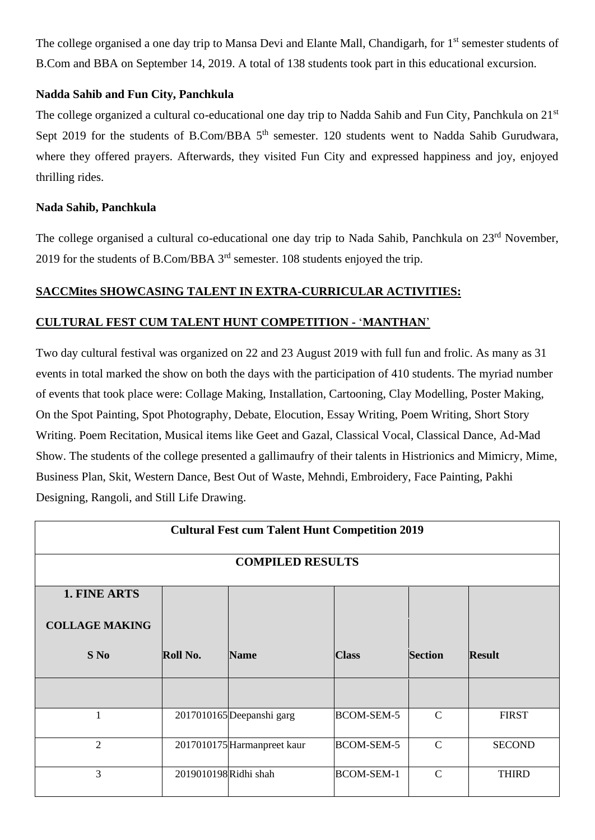The college organised a one day trip to Mansa Devi and Elante Mall, Chandigarh, for 1<sup>st</sup> semester students of B.Com and BBA on September 14, 2019. A total of 138 students took part in this educational excursion.

### **Nadda Sahib and Fun City, Panchkula**

The college organized a cultural co-educational one day trip to Nadda Sahib and Fun City, Panchkula on 21<sup>st</sup> Sept 2019 for the students of B.Com/BBA 5<sup>th</sup> semester. 120 students went to Nadda Sahib Gurudwara, where they offered prayers. Afterwards, they visited Fun City and expressed happiness and joy, enjoyed thrilling rides.

#### **Nada Sahib, Panchkula**

The college organised a cultural co-educational one day trip to Nada Sahib, Panchkula on 23<sup>rd</sup> November, 2019 for the students of B.Com/BBA 3rd semester. 108 students enjoyed the trip.

### **SACCMites SHOWCASING TALENT IN EXTRA-CURRICULAR ACTIVITIES:**

### **CULTURAL FEST CUM TALENT HUNT COMPETITION -** '**MANTHAN**'

Two day cultural festival was organized on 22 and 23 August 2019 with full fun and frolic. As many as 31 events in total marked the show on both the days with the participation of 410 students. The myriad number of events that took place were: Collage Making, Installation, Cartooning, Clay Modelling, Poster Making, On the Spot Painting, Spot Photography, Debate, Elocution, Essay Writing, Poem Writing, Short Story Writing. Poem Recitation, Musical items like Geet and Gazal, Classical Vocal, Classical Dance, Ad-Mad Show. The students of the college presented a gallimaufry of their talents in Histrionics and Mimicry, Mime, Business Plan, Skit, Western Dance, Best Out of Waste, Mehndi, Embroidery, Face Painting, Pakhi Designing, Rangoli, and Still Life Drawing.

| <b>Cultural Fest cum Talent Hunt Competition 2019</b> |                       |                             |                   |                |               |  |
|-------------------------------------------------------|-----------------------|-----------------------------|-------------------|----------------|---------------|--|
|                                                       |                       | <b>COMPILED RESULTS</b>     |                   |                |               |  |
| 1. FINE ARTS                                          |                       |                             |                   |                |               |  |
| <b>COLLAGE MAKING</b>                                 |                       |                             |                   |                |               |  |
| $S$ No                                                | Roll No.              | <b>Name</b>                 | <b>Class</b>      | <b>Section</b> | <b>Result</b> |  |
|                                                       |                       |                             |                   |                |               |  |
| 1                                                     |                       | 2017010165 Deepanshi garg   | <b>BCOM-SEM-5</b> | $\mathcal{C}$  | <b>FIRST</b>  |  |
| $\overline{2}$                                        |                       | 2017010175 Harmanpreet kaur | <b>BCOM-SEM-5</b> | $\mathcal{C}$  | <b>SECOND</b> |  |
| 3                                                     | 2019010198 Ridhi shah |                             | <b>BCOM-SEM-1</b> | $\mathcal{C}$  | <b>THIRD</b>  |  |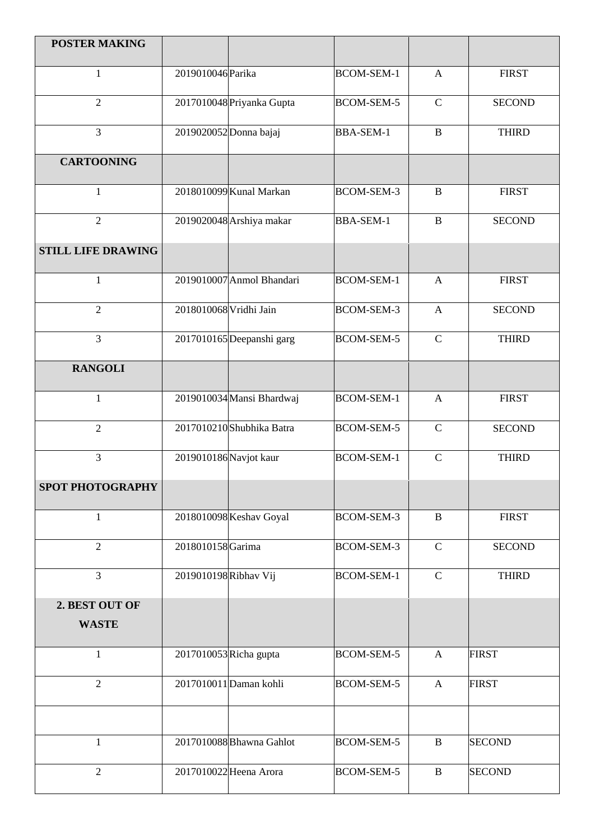| <b>POSTER MAKING</b>      |                        |                           |                   |                |               |
|---------------------------|------------------------|---------------------------|-------------------|----------------|---------------|
| $\mathbf{1}$              | 2019010046 Parika      |                           | <b>BCOM-SEM-1</b> | $\mathbf{A}$   | <b>FIRST</b>  |
| $\overline{2}$            |                        | 2017010048 Priyanka Gupta | <b>BCOM-SEM-5</b> | $\mathsf{C}$   | <b>SECOND</b> |
| $\overline{3}$            |                        | 2019020052 Donna bajaj    | <b>BBA-SEM-1</b>  | $\, {\bf B}$   | <b>THIRD</b>  |
| <b>CARTOONING</b>         |                        |                           |                   |                |               |
| $\mathbf{1}$              |                        | 2018010099 Kunal Markan   | <b>BCOM-SEM-3</b> | B              | <b>FIRST</b>  |
| $\overline{2}$            |                        | 2019020048 Arshiya makar  | <b>BBA-SEM-1</b>  | $\bf{B}$       | <b>SECOND</b> |
| <b>STILL LIFE DRAWING</b> |                        |                           |                   |                |               |
| $\mathbf{1}$              |                        | 2019010007 Anmol Bhandari | <b>BCOM-SEM-1</b> | $\mathbf{A}$   | <b>FIRST</b>  |
| $\overline{2}$            | 2018010068 Vridhi Jain |                           | <b>BCOM-SEM-3</b> | $\mathbf{A}$   | <b>SECOND</b> |
| $\overline{3}$            |                        | 2017010165 Deepanshi garg | <b>BCOM-SEM-5</b> | $\mathcal{C}$  | <b>THIRD</b>  |
| <b>RANGOLI</b>            |                        |                           |                   |                |               |
| $\mathbf{1}$              |                        | 2019010034 Mansi Bhardwaj | <b>BCOM-SEM-1</b> | $\overline{A}$ | <b>FIRST</b>  |
| $\overline{2}$            |                        | 2017010210 Shubhika Batra | <b>BCOM-SEM-5</b> | $\mathsf{C}$   | <b>SECOND</b> |
| $\overline{3}$            | 2019010186 Navjot kaur |                           | <b>BCOM-SEM-1</b> | $\mathcal{C}$  | <b>THIRD</b>  |
| <b>SPOT PHOTOGRAPHY</b>   |                        |                           |                   |                |               |
| 1                         |                        | 2018010098 Keshav Goyal   | <b>BCOM-SEM-3</b> | $\, {\bf B}$   | <b>FIRST</b>  |
| $\overline{2}$            | 2018010158Garima       |                           | <b>BCOM-SEM-3</b> | $\mathbf C$    | <b>SECOND</b> |
| $\overline{3}$            | 2019010198 Ribhav Vij  |                           | BCOM-SEM-1        | $\mathbf C$    | <b>THIRD</b>  |
| 2. BEST OUT OF            |                        |                           |                   |                |               |
| <b>WASTE</b>              |                        |                           |                   |                |               |
| $\mathbf{1}$              | 2017010053 Richa gupta |                           | <b>BCOM-SEM-5</b> | $\mathbf{A}$   | <b>FIRST</b>  |
| $\overline{2}$            |                        | 2017010011 Daman kohli    | <b>BCOM-SEM-5</b> | $\mathbf{A}$   | <b>FIRST</b>  |
|                           |                        |                           |                   |                |               |
| 1                         |                        | 2017010088 Bhawna Gahlot  | <b>BCOM-SEM-5</b> | B              | <b>SECOND</b> |
| $\overline{2}$            |                        | 2017010022 Heena Arora    | <b>BCOM-SEM-5</b> | $\, {\bf B}$   | <b>SECOND</b> |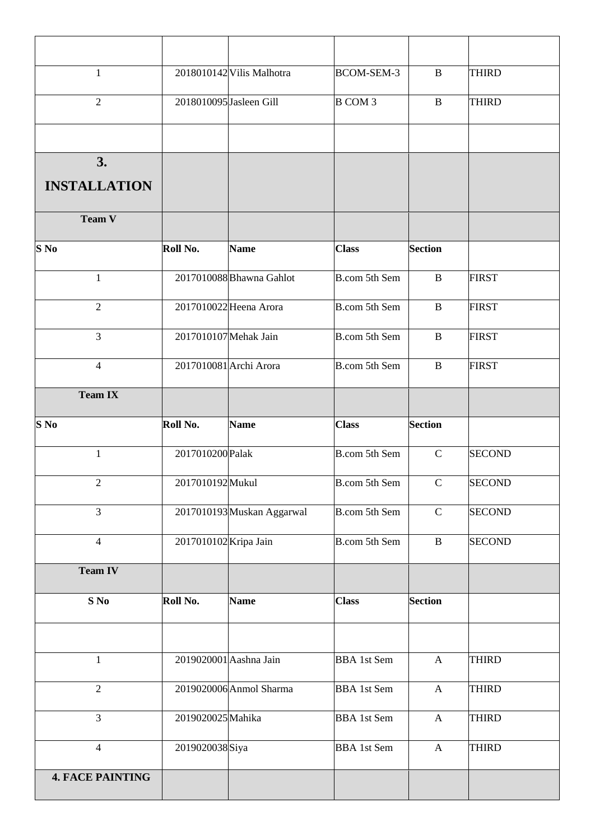| $\mathbf{1}$        |                         | 2018010142 Vilis Malhotra  | <b>BCOM-SEM-3</b>    | B              | <b>THIRD</b>  |
|---------------------|-------------------------|----------------------------|----------------------|----------------|---------------|
| $\overline{2}$      | 2018010095 Jasleen Gill |                            | <b>B COM 3</b>       | B              | <b>THIRD</b>  |
|                     |                         |                            |                      |                |               |
| 3.                  |                         |                            |                      |                |               |
| <b>INSTALLATION</b> |                         |                            |                      |                |               |
| Team V              |                         |                            |                      |                |               |
| $S$ No              | Roll No.                | <b>Name</b>                | <b>Class</b>         | <b>Section</b> |               |
| $\mathbf{1}$        |                         | 2017010088 Bhawna Gahlot   | B.com 5th Sem        | $\, {\bf B}$   | <b>FIRST</b>  |
| $\overline{2}$      |                         | 2017010022 Heena Arora     | B.com 5th Sem        | $\, {\bf B}$   | <b>FIRST</b>  |
| $\overline{3}$      | 2017010107 Mehak Jain   |                            | B.com 5th Sem        | $\, {\bf B}$   | <b>FIRST</b>  |
| $\overline{4}$      | 2017010081 Archi Arora  |                            | B.com 5th Sem        | $\mathbf{B}$   | <b>FIRST</b>  |
| <b>Team IX</b>      |                         |                            |                      |                |               |
|                     |                         |                            |                      |                |               |
| S No                | Roll No.                | <b>Name</b>                | <b>Class</b>         | <b>Section</b> |               |
| $\mathbf{1}$        | 2017010200 Palak        |                            | <b>B.com 5th Sem</b> | $\mathsf{C}$   | <b>SECOND</b> |
| $\overline{2}$      | 2017010192Mukul         |                            | B.com 5th Sem        | $\mathsf C$    | <b>SECOND</b> |
| $\overline{3}$      |                         | 2017010193 Muskan Aggarwal | <b>B.com 5th Sem</b> | $\mathbf C$    | <b>SECOND</b> |
| $\overline{4}$      | 2017010102 Kripa Jain   |                            | B.com 5th Sem        | $\, {\bf B}$   | <b>SECOND</b> |
| <b>Team IV</b>      |                         |                            |                      |                |               |
| $S$ No              | Roll No.                | <b>Name</b>                | <b>Class</b>         | <b>Section</b> |               |
|                     |                         |                            |                      |                |               |
| $\mathbf{1}$        | 2019020001 Aashna Jain  |                            | <b>BBA</b> 1st Sem   | $\mathbf{A}$   | <b>THIRD</b>  |
| $\overline{2}$      |                         | 2019020006 Anmol Sharma    | <b>BBA</b> 1st Sem   | $\mathbf{A}$   | <b>THIRD</b>  |
| 3                   | 2019020025 Mahika       |                            | <b>BBA</b> 1st Sem   | $\mathbf{A}$   | <b>THIRD</b>  |
| $\overline{4}$      | 2019020038Siya          |                            | <b>BBA</b> 1st Sem   | $\mathbf{A}$   | <b>THIRD</b>  |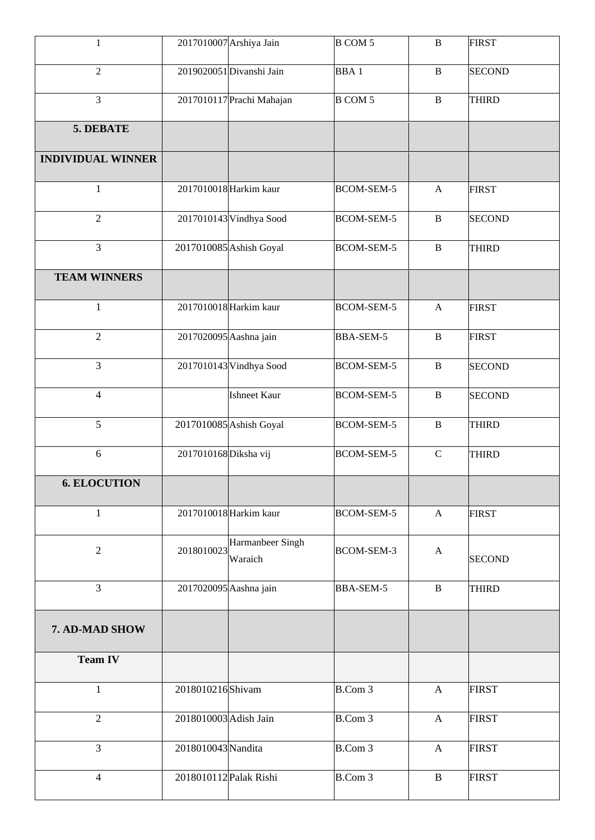| $\mathbf{1}$             |                        | 2017010007 Arshiya Jain     | <b>B COM 5</b>    | $\, {\bf B}$ | <b>FIRST</b>  |
|--------------------------|------------------------|-----------------------------|-------------------|--------------|---------------|
| $\sqrt{2}$               |                        | 2019020051 Divanshi Jain    | <b>BBA1</b>       | $\, {\bf B}$ | <b>SECOND</b> |
| 3                        |                        | 2017010117 Prachi Mahajan   | <b>B COM 5</b>    | $\, {\bf B}$ | <b>THIRD</b>  |
| 5. DEBATE                |                        |                             |                   |              |               |
| <b>INDIVIDUAL WINNER</b> |                        |                             |                   |              |               |
| $\mathbf{1}$             |                        | 2017010018 Harkim kaur      | <b>BCOM-SEM-5</b> | $\mathbf{A}$ | <b>FIRST</b>  |
| $\overline{2}$           |                        | 2017010143 Vindhya Sood     | <b>BCOM-SEM-5</b> | $\, {\bf B}$ | <b>SECOND</b> |
| $\overline{3}$           |                        | 2017010085 Ashish Goyal     | <b>BCOM-SEM-5</b> | $\, {\bf B}$ | THIRD         |
| <b>TEAM WINNERS</b>      |                        |                             |                   |              |               |
| $\mathbf{1}$             |                        | 2017010018 Harkim kaur      | <b>BCOM-SEM-5</b> | $\mathbf{A}$ | <b>FIRST</b>  |
| $\overline{2}$           | 2017020095 Aashna jain |                             | <b>BBA-SEM-5</b>  | $\, {\bf B}$ | <b>FIRST</b>  |
| $\overline{3}$           |                        | 2017010143 Vindhya Sood     | <b>BCOM-SEM-5</b> | $\, {\bf B}$ | <b>SECOND</b> |
| $\overline{4}$           |                        | <b>Ishneet Kaur</b>         | <b>BCOM-SEM-5</b> | $\, {\bf B}$ | <b>SECOND</b> |
| 5                        |                        | 2017010085 Ashish Goyal     | <b>BCOM-SEM-5</b> | $\, {\bf B}$ | <b>THIRD</b>  |
| 6                        | 2017010168 Diksha vij  |                             | <b>BCOM-SEM-5</b> | $\mathbf C$  | <b>THIRD</b>  |
| <b>6. ELOCUTION</b>      |                        |                             |                   |              |               |
| $\mathbf{1}$             |                        | 2017010018 Harkim kaur      | <b>BCOM-SEM-5</b> | $\mathbf{A}$ | <b>FIRST</b>  |
| $\sqrt{2}$               | 2018010023             | Harmanbeer Singh<br>Waraich | BCOM-SEM-3        | $\mathbf{A}$ | <b>SECOND</b> |
| 3                        | 2017020095 Aashna jain |                             | BBA-SEM-5         | $\, {\bf B}$ | <b>THIRD</b>  |
| 7. AD-MAD SHOW           |                        |                             |                   |              |               |
| <b>Team IV</b>           |                        |                             |                   |              |               |
| $\mathbf{1}$             | 2018010216 Shivam      |                             | B.Com 3           | $\mathbf{A}$ | <b>FIRST</b>  |
| $\overline{2}$           | 2018010003 Adish Jain  |                             | B.Com 3           | $\mathbf{A}$ | <b>FIRST</b>  |
| $\overline{3}$           | 2018010043 Nandita     |                             | B.Com 3           | $\mathbf{A}$ | <b>FIRST</b>  |
| $\overline{4}$           | 2018010112 Palak Rishi |                             | B.Com 3           | $\, {\bf B}$ | <b>FIRST</b>  |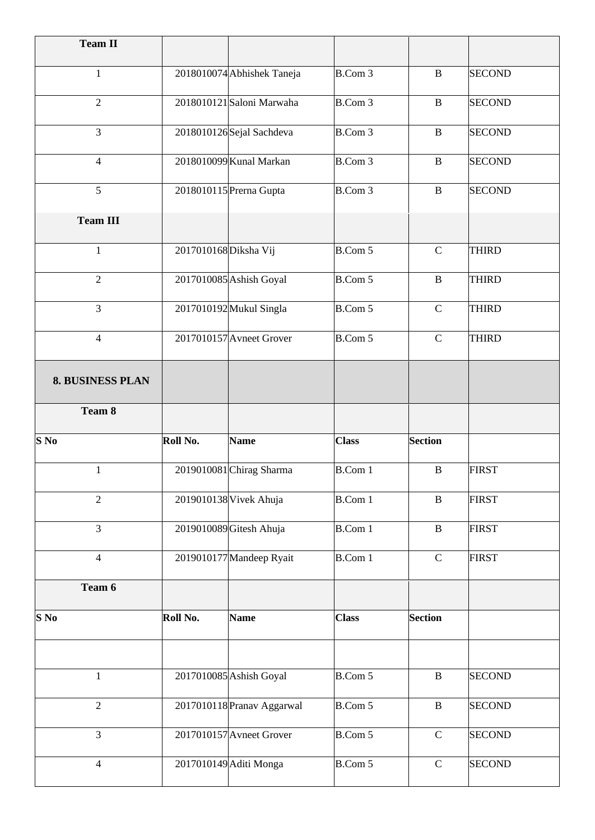| <b>Team II</b>          |                       |                            |                |                |               |
|-------------------------|-----------------------|----------------------------|----------------|----------------|---------------|
| $\mathbf{1}$            |                       | 2018010074 Abhishek Taneja | $B.$ Com $3$   | B              | <b>SECOND</b> |
| $\overline{2}$          |                       | 2018010121 Saloni Marwaha  | $B.$ Com $3$   | $\bf{B}$       | <b>SECOND</b> |
| 3                       |                       | 2018010126Sejal Sachdeva   | B.Com 3        | $\bf{B}$       | <b>SECOND</b> |
| $\overline{4}$          |                       | 2018010099 Kunal Markan    | B.Com 3        | $\bf{B}$       | <b>SECOND</b> |
| 5                       |                       | 2018010115 Prerna Gupta    | B.Com 3        | $\bf{B}$       | <b>SECOND</b> |
| <b>Team III</b>         |                       |                            |                |                |               |
| $\mathbf{1}$            | 2017010168 Diksha Vij |                            | B.Com 5        | $\mathbf C$    | <b>THIRD</b>  |
| $\overline{2}$          |                       | 2017010085 Ashish Goyal    | B.Com 5        | $\bf{B}$       | <b>THIRD</b>  |
| 3                       |                       | 2017010192 Mukul Singla    | B.Com 5        | $\mathcal{C}$  | <b>THIRD</b>  |
| $\overline{4}$          |                       | 2017010157 Avneet Grover   | B.Com 5        | $\mathbf C$    | <b>THIRD</b>  |
| <b>8. BUSINESS PLAN</b> |                       |                            |                |                |               |
| Team 8                  |                       |                            |                |                |               |
| $S$ No                  | Roll No.              | <b>Name</b>                | <b>Class</b>   | <b>Section</b> |               |
| 1                       |                       | 2019010081 Chirag Sharma   | <b>B.Com 1</b> | $\bf{B}$       | <b>FIRST</b>  |
| $\overline{2}$          |                       | 2019010138 Vivek Ahuja     | <b>B.Com 1</b> | $\bf{B}$       | <b>FIRST</b>  |
| $\overline{3}$          |                       | 2019010089 Gitesh Ahuja    | <b>B.Com 1</b> | $\, {\bf B}$   | <b>FIRST</b>  |
| $\overline{4}$          |                       | 2019010177 Mandeep Ryait   | <b>B.Com 1</b> | $\mathbf C$    | <b>FIRST</b>  |
| Team 6                  |                       |                            |                |                |               |
| $S$ No                  | Roll No.              | <b>Name</b>                | <b>Class</b>   | <b>Section</b> |               |
|                         |                       |                            |                |                |               |
| $\mathbf{1}$            |                       | 2017010085 Ashish Goyal    | B.Com 5        | $\, {\bf B}$   | <b>SECOND</b> |
| $\overline{2}$          |                       | 2017010118 Pranav Aggarwal | B.Com 5        | $\, {\bf B}$   | <b>SECOND</b> |
| $\overline{3}$          |                       | 2017010157 Avneet Grover   | B.Com 5        | $\mathbf C$    | <b>SECOND</b> |
| $\overline{4}$          |                       | 2017010149 Aditi Monga     | B.Com 5        | $\mathbf C$    | <b>SECOND</b> |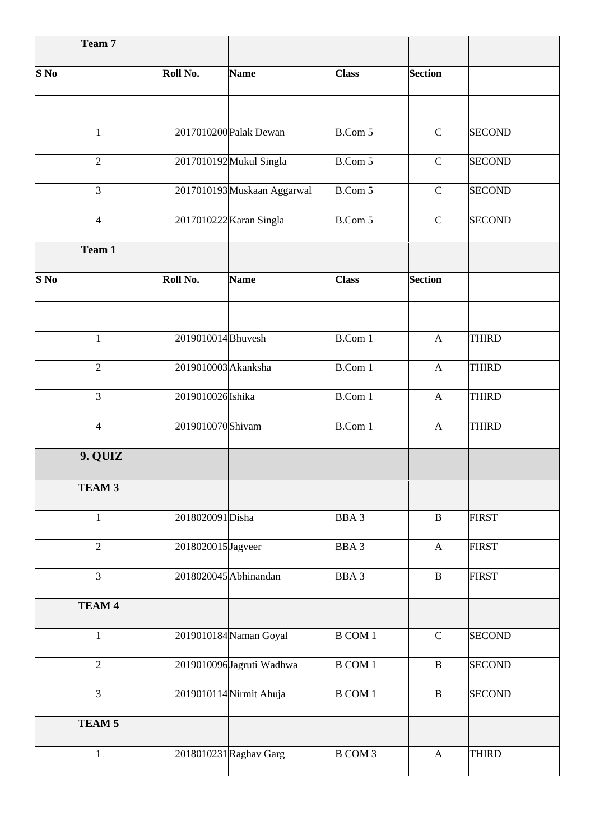| Team 7            |                     |                             |                  |                           |               |
|-------------------|---------------------|-----------------------------|------------------|---------------------------|---------------|
| S <sub>No</sub>   | Roll No.            | <b>Name</b>                 | <b>Class</b>     | <b>Section</b>            |               |
|                   |                     |                             |                  |                           |               |
| $\mathbf{1}$      |                     | 2017010200 Palak Dewan      | B.Com 5          | $\mathbf C$               | <b>SECOND</b> |
| $\overline{2}$    |                     | 2017010192 Mukul Singla     | B.Com 5          | $\mathbf C$               | <b>SECOND</b> |
| $\overline{3}$    |                     | 2017010193 Muskaan Aggarwal | <b>B.Com 5</b>   | $\mathbf C$               | <b>SECOND</b> |
| $\overline{4}$    |                     | 2017010222 Karan Singla     | <b>B.Com 5</b>   | $\mathbf C$               | <b>SECOND</b> |
| Team 1            |                     |                             |                  |                           |               |
| $S$ No            | Roll No.            | <b>Name</b>                 | <b>Class</b>     | <b>Section</b>            |               |
|                   |                     |                             |                  |                           |               |
| $\mathbf{1}$      | 2019010014 Bhuvesh  |                             | <b>B.Com 1</b>   | $\mathbf{A}$              | <b>THIRD</b>  |
| $\overline{2}$    | 2019010003 Akanksha |                             | <b>B.Com 1</b>   | $\mathbf{A}$              | <b>THIRD</b>  |
| $\overline{3}$    | 2019010026 Ishika   |                             | <b>B.Com 1</b>   | $\mathbf{A}$              | <b>THIRD</b>  |
| $\overline{4}$    | 2019010070 Shivam   |                             | <b>B.Com 1</b>   | $\mathbf{A}$              | <b>THIRD</b>  |
| 9. QUIZ           |                     |                             |                  |                           |               |
| TEAM <sub>3</sub> |                     |                             |                  |                           |               |
| $\mathbf{1}$      | 2018020091Disha     |                             | BBA <sub>3</sub> | $\, {\bf B}$              | <b>FIRST</b>  |
| $\overline{2}$    | 2018020015 Jagveer  |                             | BBA <sub>3</sub> | $\boldsymbol{\mathsf{A}}$ | <b>FIRST</b>  |
| $\overline{3}$    |                     | 2018020045 Abhinandan       | BBA <sub>3</sub> | $\, {\bf B}$              | <b>FIRST</b>  |
| TEAM 4            |                     |                             |                  |                           |               |
| 1                 |                     | 2019010184 Naman Goyal      | <b>B COM 1</b>   | $\mathsf{C}$              | <b>SECOND</b> |
| $\overline{2}$    |                     | 2019010096 Jagruti Wadhwa   | <b>B COM 1</b>   | $\, {\bf B}$              | <b>SECOND</b> |
| $\overline{3}$    |                     | 2019010114 Nirmit Ahuja     | <b>B COM 1</b>   | $\, {\bf B}$              | <b>SECOND</b> |
| TEAM <sub>5</sub> |                     |                             |                  |                           |               |
| $\mathbf{1}$      |                     | 2018010231 Raghav Garg      | <b>B COM 3</b>   | $\mathbf{A}$              | <b>THIRD</b>  |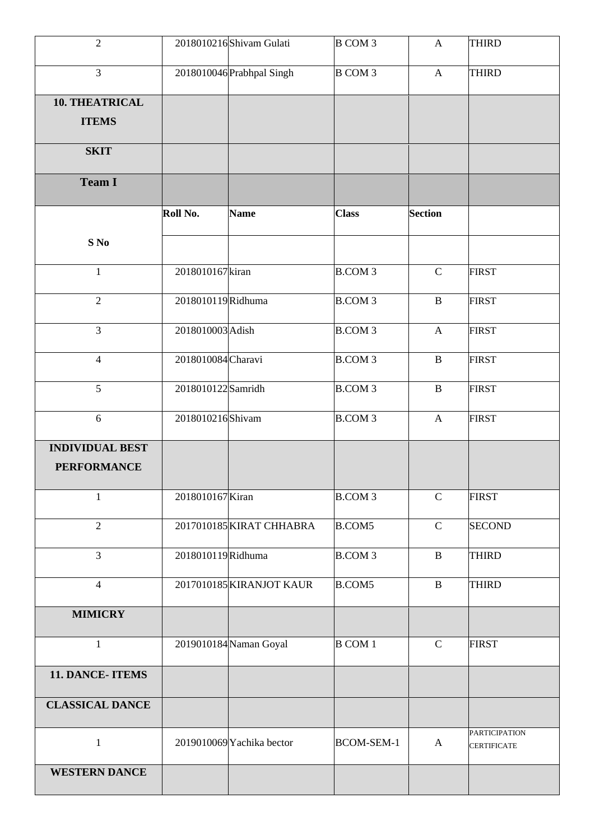| $\overline{2}$         |                    | 2018010216 Shivam Gulati  | B COM 3           | $\mathbf{A}$              | <b>THIRD</b>                               |
|------------------------|--------------------|---------------------------|-------------------|---------------------------|--------------------------------------------|
| $\overline{3}$         |                    | 2018010046 Prabhpal Singh | <b>B COM 3</b>    | $\mathbf{A}$              | <b>THIRD</b>                               |
| 10. THEATRICAL         |                    |                           |                   |                           |                                            |
| <b>ITEMS</b>           |                    |                           |                   |                           |                                            |
| <b>SKIT</b>            |                    |                           |                   |                           |                                            |
| <b>Team I</b>          |                    |                           |                   |                           |                                            |
|                        | Roll No.           | <b>Name</b>               | <b>Class</b>      | <b>Section</b>            |                                            |
| S No                   |                    |                           |                   |                           |                                            |
| $\mathbf{1}$           | 2018010167 kiran   |                           | <b>B.COM3</b>     | $\mathbf C$               | <b>FIRST</b>                               |
| $\overline{2}$         | 2018010119Ridhuma  |                           | <b>B.COM3</b>     | $\, {\bf B}$              | <b>FIRST</b>                               |
| $\overline{3}$         | 2018010003 Adish   |                           | <b>B.COM3</b>     | $\mathbf{A}$              | <b>FIRST</b>                               |
| $\overline{4}$         | 2018010084 Charavi |                           | <b>B.COM3</b>     | $\, {\bf B}$              | <b>FIRST</b>                               |
| 5                      | 2018010122 Samridh |                           | <b>B.COM3</b>     | $\, {\bf B}$              | <b>FIRST</b>                               |
| $6\,$                  | 2018010216 Shivam  |                           | <b>B.COM3</b>     | $\boldsymbol{\mathsf{A}}$ | <b>FIRST</b>                               |
| <b>INDIVIDUAL BEST</b> |                    |                           |                   |                           |                                            |
| <b>PERFORMANCE</b>     |                    |                           |                   |                           |                                            |
| $\mathbf{1}$           | 2018010167 Kiran   |                           | <b>B.COM3</b>     | $\mathsf{C}$              | <b>FIRST</b>                               |
| $\overline{2}$         |                    | 2017010185 KIRAT CHHABRA  | <b>B.COM5</b>     | $\mathbf C$               | <b>SECOND</b>                              |
| $\overline{3}$         | 2018010119Ridhuma  |                           | <b>B.COM3</b>     | $\, {\bf B}$              | <b>THIRD</b>                               |
| $\overline{4}$         |                    | 2017010185 KIRANJOT KAUR  | <b>B.COM5</b>     | $\, {\bf B}$              | <b>THIRD</b>                               |
| <b>MIMICRY</b>         |                    |                           |                   |                           |                                            |
| $\mathbf{1}$           |                    | 2019010184 Naman Goyal    | <b>B COM 1</b>    | $\mathbf C$               | <b>FIRST</b>                               |
| 11. DANCE-ITEMS        |                    |                           |                   |                           |                                            |
| <b>CLASSICAL DANCE</b> |                    |                           |                   |                           |                                            |
| $\mathbf{1}$           |                    | 2019010069 Yachika bector | <b>BCOM-SEM-1</b> | $\mathbf{A}$              | <b>PARTICIPATION</b><br><b>CERTIFICATE</b> |
| <b>WESTERN DANCE</b>   |                    |                           |                   |                           |                                            |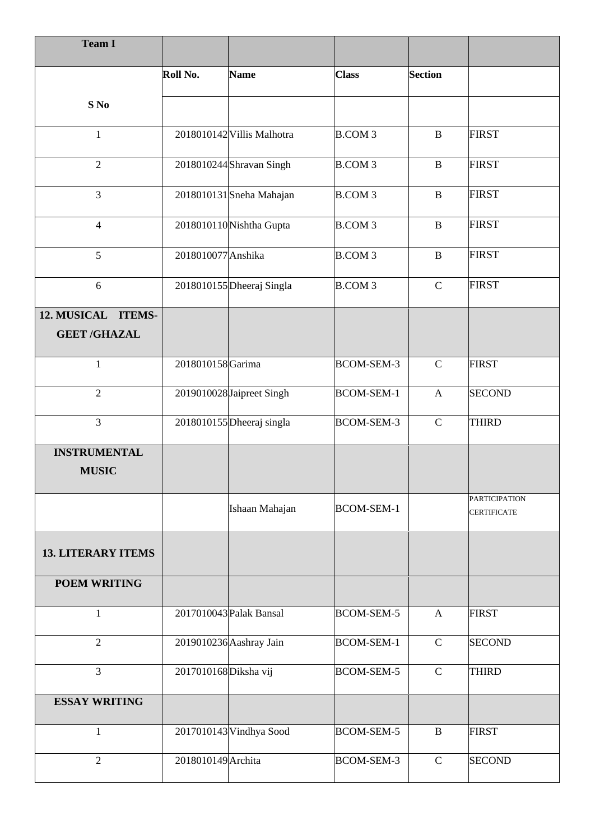| <b>Team I</b>                             |                       |                            |                   |                |                                            |
|-------------------------------------------|-----------------------|----------------------------|-------------------|----------------|--------------------------------------------|
|                                           | Roll No.              | <b>Name</b>                | <b>Class</b>      | <b>Section</b> |                                            |
| S No                                      |                       |                            |                   |                |                                            |
| $\mathbf{1}$                              |                       | 2018010142 Villis Malhotra | <b>B.COM3</b>     | $\mathbf B$    | <b>FIRST</b>                               |
| $\overline{2}$                            |                       | 2018010244 Shravan Singh   | <b>B.COM3</b>     | $\mathbf B$    | <b>FIRST</b>                               |
| $\overline{3}$                            |                       | 2018010131 Sneha Mahajan   | <b>B.COM3</b>     | $\mathbf{B}$   | <b>FIRST</b>                               |
| $\overline{4}$                            |                       | 2018010110 Nishtha Gupta   | <b>B.COM3</b>     | $\, {\bf B}$   | <b>FIRST</b>                               |
| 5                                         | 2018010077 Anshika    |                            | <b>B.COM3</b>     | $\mathbf{B}$   | <b>FIRST</b>                               |
| 6                                         |                       | 2018010155 Dheeraj Singla  | <b>B.COM3</b>     | $\mathbf C$    | <b>FIRST</b>                               |
| 12. MUSICAL ITEMS-<br><b>GEET /GHAZAL</b> |                       |                            |                   |                |                                            |
| $\mathbf{1}$                              | 2018010158Garima      |                            | <b>BCOM-SEM-3</b> | $\mathsf{C}$   | <b>FIRST</b>                               |
| $\overline{2}$                            |                       | 2019010028 Jaipreet Singh  | <b>BCOM-SEM-1</b> | $\mathbf{A}$   | <b>SECOND</b>                              |
| $\overline{3}$                            |                       | 2018010155 Dheeraj singla  | <b>BCOM-SEM-3</b> | $\mathsf{C}$   | <b>THIRD</b>                               |
| <b>INSTRUMENTAL</b><br><b>MUSIC</b>       |                       |                            |                   |                |                                            |
|                                           |                       | Ishaan Mahajan             | <b>BCOM-SEM-1</b> |                | <b>PARTICIPATION</b><br><b>CERTIFICATE</b> |
| <b>13. LITERARY ITEMS</b>                 |                       |                            |                   |                |                                            |
| <b>POEM WRITING</b>                       |                       |                            |                   |                |                                            |
| 1                                         |                       | 2017010043 Palak Bansal    | <b>BCOM-SEM-5</b> | $\mathbf{A}$   | <b>FIRST</b>                               |
| $\overline{2}$                            |                       | 2019010236 Aashray Jain    | <b>BCOM-SEM-1</b> | $\mathbf C$    | <b>SECOND</b>                              |
| $\overline{3}$                            | 2017010168 Diksha vij |                            | <b>BCOM-SEM-5</b> | $\mathcal{C}$  | <b>THIRD</b>                               |
| <b>ESSAY WRITING</b>                      |                       |                            |                   |                |                                            |
| $\mathbf{1}$                              |                       | 2017010143 Vindhya Sood    | <b>BCOM-SEM-5</b> | $\, {\bf B}$   | <b>FIRST</b>                               |
| $\overline{2}$                            | 2018010149 Archita    |                            | BCOM-SEM-3        | $\mathcal{C}$  | <b>SECOND</b>                              |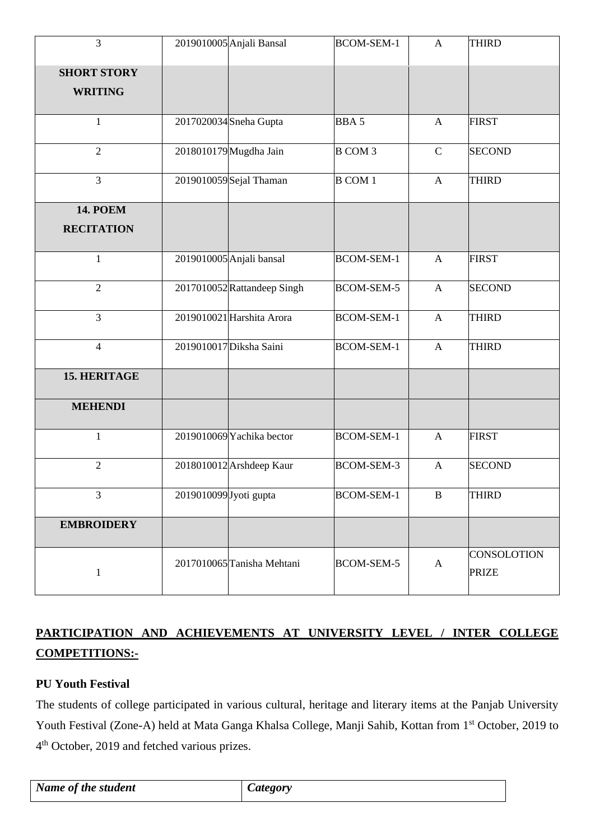| $\overline{3}$                       |                        | 2019010005 Anjali Bansal    | <b>BCOM-SEM-1</b> | A            | <b>THIRD</b>                       |
|--------------------------------------|------------------------|-----------------------------|-------------------|--------------|------------------------------------|
| <b>SHORT STORY</b><br><b>WRITING</b> |                        |                             |                   |              |                                    |
|                                      |                        |                             |                   |              |                                    |
| $\mathbf{1}$                         |                        | 2017020034 Sneha Gupta      | <b>BBA5</b>       | A            | <b>FIRST</b>                       |
| $\overline{2}$                       |                        | 2018010179 Mugdha Jain      | <b>B</b> COM 3    | $\mathbf C$  | <b>SECOND</b>                      |
| $\overline{3}$                       |                        | 2019010059Sejal Thaman      | <b>B COM 1</b>    | $\mathbf{A}$ | <b>THIRD</b>                       |
| <b>14. POEM</b>                      |                        |                             |                   |              |                                    |
| <b>RECITATION</b>                    |                        |                             |                   |              |                                    |
| $\mathbf{1}$                         |                        | 2019010005 Anjali bansal    | <b>BCOM-SEM-1</b> | $\mathbf{A}$ | <b>FIRST</b>                       |
| $\overline{2}$                       |                        | 2017010052 Rattandeep Singh | <b>BCOM-SEM-5</b> | $\mathbf{A}$ | <b>SECOND</b>                      |
| 3                                    |                        | 2019010021 Harshita Arora   | <b>BCOM-SEM-1</b> | $\mathbf{A}$ | <b>THIRD</b>                       |
| $\overline{4}$                       |                        | 2019010017 Diksha Saini     | <b>BCOM-SEM-1</b> | $\mathbf{A}$ | <b>THIRD</b>                       |
| <b>15. HERITAGE</b>                  |                        |                             |                   |              |                                    |
| <b>MEHENDI</b>                       |                        |                             |                   |              |                                    |
| $\mathbf{1}$                         |                        | 2019010069 Yachika bector   | <b>BCOM-SEM-1</b> | $\mathbf{A}$ | <b>FIRST</b>                       |
| $\overline{2}$                       |                        | 2018010012 Arshdeep Kaur    | <b>BCOM-SEM-3</b> | $\mathbf{A}$ | <b>SECOND</b>                      |
| $\overline{3}$                       | 2019010099 Jyoti gupta |                             | <b>BCOM-SEM-1</b> | $\, {\bf B}$ | <b>THIRD</b>                       |
| <b>EMBROIDERY</b>                    |                        |                             |                   |              |                                    |
| $\mathbf{1}$                         |                        | 2017010065 Tanisha Mehtani  | <b>BCOM-SEM-5</b> | $\mathbf{A}$ | <b>CONSOLOTION</b><br><b>PRIZE</b> |

# **PARTICIPATION AND ACHIEVEMENTS AT UNIVERSITY LEVEL / INTER COLLEGE COMPETITIONS:-**

### **PU Youth Festival**

The students of college participated in various cultural, heritage and literary items at the Panjab University Youth Festival (Zone-A) held at Mata Ganga Khalsa College, Manji Sahib, Kottan from 1<sup>st</sup> October, 2019 to 4<sup>th</sup> October, 2019 and fetched various prizes.

| Name of the student | Category |
|---------------------|----------|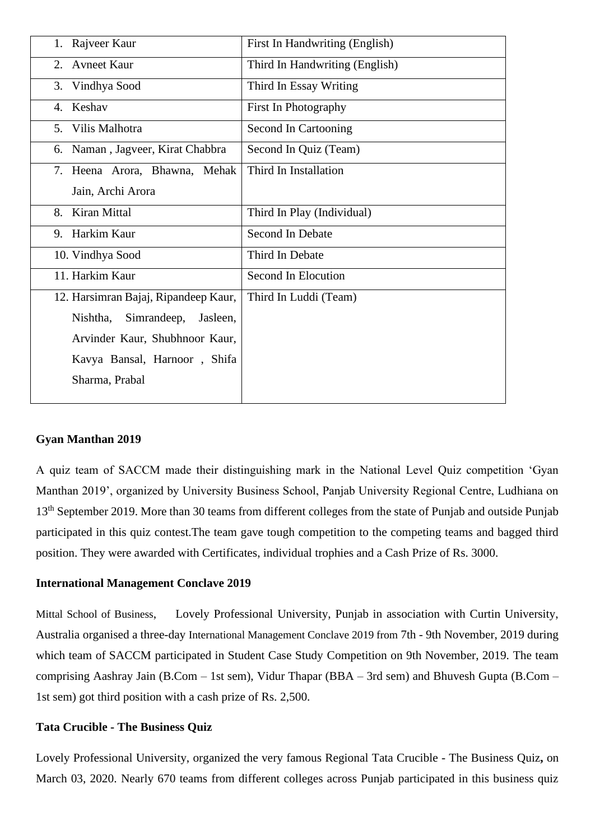| 1. Rajveer Kaur                      | First In Handwriting (English) |
|--------------------------------------|--------------------------------|
| <b>Avneet Kaur</b><br>2.             | Third In Handwriting (English) |
| Vindhya Sood<br>3.                   | Third In Essay Writing         |
| Keshav<br>4.                         | First In Photography           |
| Vilis Malhotra<br>5.                 | Second In Cartooning           |
| Naman, Jagveer, Kirat Chabbra<br>6.  | Second In Quiz (Team)          |
| 7. Heena Arora, Bhawna, Mehak        | Third In Installation          |
| Jain, Archi Arora                    |                                |
| Kiran Mittal<br>8.                   | Third In Play (Individual)     |
| 9. Harkim Kaur                       | Second In Debate               |
| 10. Vindhya Sood                     | Third In Debate                |
| 11. Harkim Kaur                      | Second In Elocution            |
| 12. Harsimran Bajaj, Ripandeep Kaur, | Third In Luddi (Team)          |
| Simrandeep,<br>Nishtha,<br>Jasleen,  |                                |
| Arvinder Kaur, Shubhnoor Kaur,       |                                |
| Kavya Bansal, Harnoor, Shifa         |                                |
| Sharma, Prabal                       |                                |
|                                      |                                |

#### **Gyan Manthan 2019**

A quiz team of SACCM made their distinguishing mark in the National Level Quiz competition 'Gyan Manthan 2019', organized by University Business School, Panjab University Regional Centre, Ludhiana on 13<sup>th</sup> September 2019. More than 30 teams from different colleges from the state of Punjab and outside Punjab participated in this quiz contest.The team gave tough competition to the competing teams and bagged third position. They were awarded with Certificates, individual trophies and a Cash Prize of Rs. 3000.

#### **International Management Conclave 2019**

[Mittal School of Business](https://schools.lpu.in/business/), Lovely Professional University, Punjab in association with Curtin University, Australia organised a three-day International Management Conclave 2019 from 7th - 9th November, 2019 during which team of SACCM participated in Student Case Study Competition on 9th November, 2019. The team comprising Aashray Jain (B.Com – 1st sem), Vidur Thapar (BBA – 3rd sem) and Bhuvesh Gupta (B.Com – 1st sem) got third position with a cash prize of Rs. 2,500.

#### **Tata Crucible - The Business Quiz**

Lovely Professional University, organized the very famous Regional Tata Crucible - The Business Quiz**,** on March 03, 2020. Nearly 670 teams from different colleges across Punjab participated in this business quiz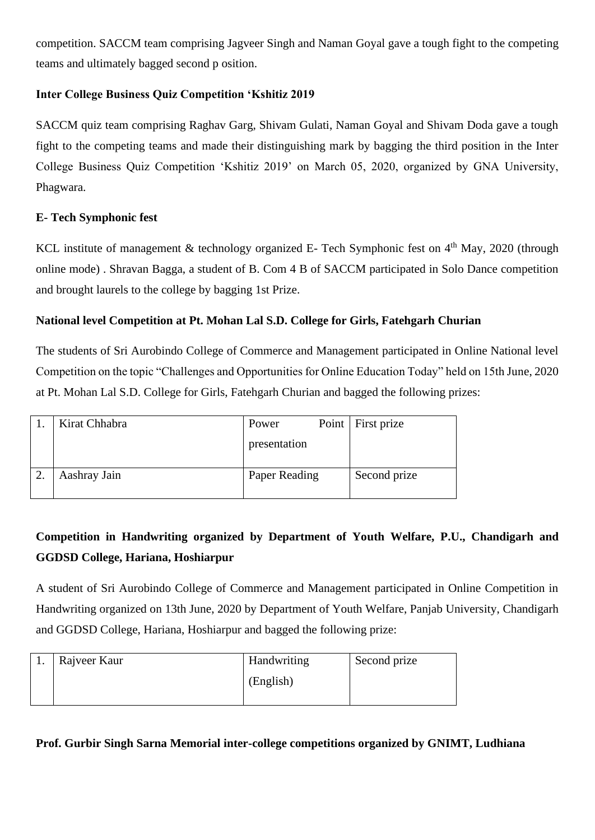competition. SACCM team comprising Jagveer Singh and Naman Goyal gave a tough fight to the competing teams and ultimately bagged second p osition.

### **Inter College Business Quiz Competition 'Kshitiz 2019**

SACCM quiz team comprising Raghav Garg, Shivam Gulati, Naman Goyal and Shivam Doda gave a tough fight to the competing teams and made their distinguishing mark by bagging the third position in the Inter College Business Quiz Competition 'Kshitiz 2019' on March 05, 2020, organized by GNA University, Phagwara.

### **E- Tech Symphonic fest**

KCL institute of management & technology organized E- Tech Symphonic fest on  $4<sup>th</sup>$  May, 2020 (through online mode) . Shravan Bagga, a student of B. Com 4 B of SACCM participated in Solo Dance competition and brought laurels to the college by bagging 1st Prize.

#### **National level Competition at Pt. Mohan Lal S.D. College for Girls, Fatehgarh Churian**

The students of Sri Aurobindo College of Commerce and Management participated in Online National level Competition on the topic "Challenges and Opportunities for Online Education Today" held on 15th June, 2020 at Pt. Mohan Lal S.D. College for Girls, Fatehgarh Churian and bagged the following prizes:

| Kirat Chhabra | Power         | Point First prize |
|---------------|---------------|-------------------|
|               | presentation  |                   |
| Aashray Jain  | Paper Reading | Second prize      |

# **Competition in Handwriting organized by Department of Youth Welfare, P.U., Chandigarh and GGDSD College, Hariana, Hoshiarpur**

A student of Sri Aurobindo College of Commerce and Management participated in Online Competition in Handwriting organized on 13th June, 2020 by Department of Youth Welfare, Panjab University, Chandigarh and GGDSD College, Hariana, Hoshiarpur and bagged the following prize:

| . . | Rajveer Kaur | Handwriting | Second prize |
|-----|--------------|-------------|--------------|
|     |              | (English)   |              |
|     |              |             |              |

#### **Prof. Gurbir Singh Sarna Memorial inter-college competitions organized by GNIMT, Ludhiana**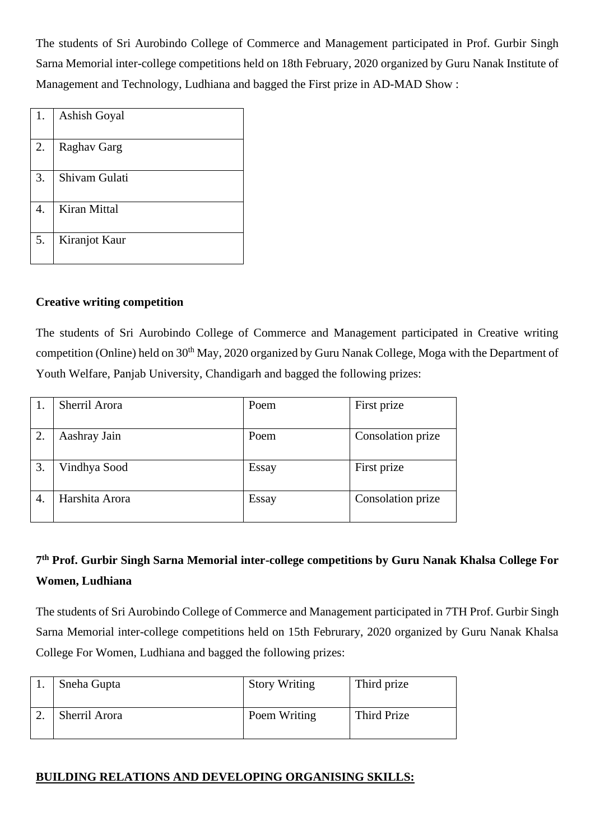The students of Sri Aurobindo College of Commerce and Management participated in Prof. Gurbir Singh Sarna Memorial inter-college competitions held on 18th February, 2020 organized by Guru Nanak Institute of Management and Technology, Ludhiana and bagged the First prize in AD-MAD Show :

| 1. | Ashish Goyal        |
|----|---------------------|
| 2. | Raghav Garg         |
| 3. | Shivam Gulati       |
| 4. | <b>Kiran Mittal</b> |
| 5. | Kiranjot Kaur       |

#### **Creative writing competition**

The students of Sri Aurobindo College of Commerce and Management participated in Creative writing competition (Online) held on 30<sup>th</sup> May, 2020 organized by Guru Nanak College, Moga with the Department of Youth Welfare, Panjab University, Chandigarh and bagged the following prizes:

|    | Sherril Arora  | Poem  | First prize       |
|----|----------------|-------|-------------------|
| 2. | Aashray Jain   | Poem  | Consolation prize |
| 3. | Vindhya Sood   | Essay | First prize       |
| 4. | Harshita Arora | Essay | Consolation prize |

# **7 th Prof. Gurbir Singh Sarna Memorial inter-college competitions by Guru Nanak Khalsa College For Women, Ludhiana**

The students of Sri Aurobindo College of Commerce and Management participated in 7TH Prof. Gurbir Singh Sarna Memorial inter-college competitions held on 15th Februrary, 2020 organized by Guru Nanak Khalsa College For Women, Ludhiana and bagged the following prizes:

| Sneha Gupta   | <b>Story Writing</b> | Third prize |
|---------------|----------------------|-------------|
| Sherril Arora | Poem Writing         | Third Prize |

### **BUILDING RELATIONS AND DEVELOPING ORGANISING SKILLS:**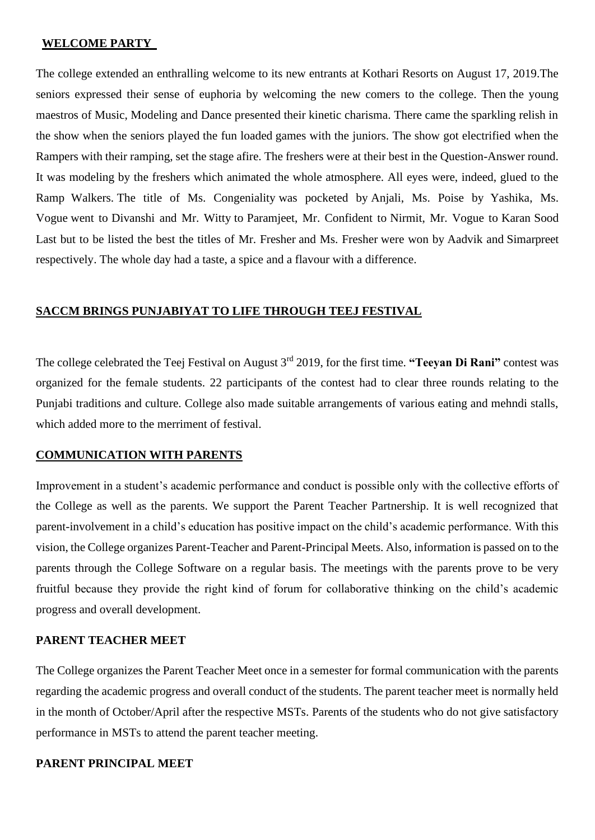#### **WELCOME PARTY**

The college extended an enthralling welcome to its new entrants at Kothari Resorts on August 17, 2019.The seniors expressed their sense of euphoria by welcoming the new comers to the college. Then the young maestros of Music, Modeling and Dance presented their kinetic charisma. There came the sparkling relish in the show when the seniors played the fun loaded games with the juniors. The show got electrified when the Rampers with their ramping, set the stage afire. The freshers were at their best in the Question-Answer round. It was modeling by the freshers which animated the whole atmosphere. All eyes were, indeed, glued to the Ramp Walkers. The title of Ms. Congeniality was pocketed by Anjali, Ms. Poise by Yashika, Ms. Vogue went to Divanshi and Mr. Witty to Paramjeet, Mr. Confident to Nirmit, Mr. Vogue to Karan Sood Last but to be listed the best the titles of Mr. Fresher and Ms. Fresher were won by Aadvik and Simarpreet respectively. The whole day had a taste, a spice and a flavour with a difference.

#### **SACCM BRINGS PUNJABIYAT TO LIFE THROUGH TEEJ FESTIVAL**

The college celebrated the Teej Festival on August 3rd 2019, for the first time. **"Teeyan Di Rani"** contest was organized for the female students. 22 participants of the contest had to clear three rounds relating to the Punjabi traditions and culture. College also made suitable arrangements of various eating and mehndi stalls, which added more to the merriment of festival.

#### **COMMUNICATION WITH PARENTS**

Improvement in a student's academic performance and conduct is possible only with the collective efforts of the College as well as the parents. We support the Parent Teacher Partnership. It is well recognized that parent-involvement in a child's education has positive impact on the child's academic performance. With this vision, the College organizes Parent-Teacher and Parent-Principal Meets. Also, information is passed on to the parents through the College Software on a regular basis. The meetings with the parents prove to be very fruitful because they provide the right kind of forum for collaborative thinking on the child's academic progress and overall development.

#### **PARENT TEACHER MEET**

The College organizes the Parent Teacher Meet once in a semester for formal communication with the parents regarding the academic progress and overall conduct of the students. The parent teacher meet is normally held in the month of October/April after the respective MSTs. Parents of the students who do not give satisfactory performance in MSTs to attend the parent teacher meeting.

#### **PARENT PRINCIPAL MEET**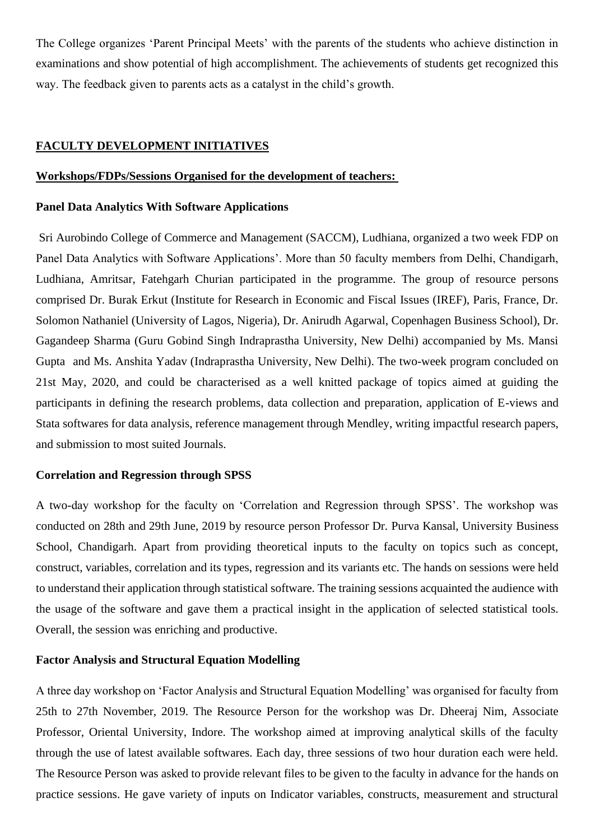The College organizes 'Parent Principal Meets' with the parents of the students who achieve distinction in examinations and show potential of high accomplishment. The achievements of students get recognized this way. The feedback given to parents acts as a catalyst in the child's growth.

#### **FACULTY DEVELOPMENT INITIATIVES**

#### **Workshops/FDPs/Sessions Organised for the development of teachers:**

#### **Panel Data Analytics With Software Applications**

Sri Aurobindo College of Commerce and Management (SACCM), Ludhiana, organized a two week FDP on Panel Data Analytics with Software Applications'. More than 50 faculty members from Delhi, Chandigarh, Ludhiana, Amritsar, Fatehgarh Churian participated in the programme. The group of resource persons comprised Dr. Burak Erkut (Institute for Research in Economic and Fiscal Issues (IREF), Paris, France, Dr. Solomon Nathaniel (University of Lagos, Nigeria), Dr. Anirudh Agarwal, Copenhagen Business School), Dr. Gagandeep Sharma (Guru Gobind Singh Indraprastha University, New Delhi) accompanied by Ms. Mansi Gupta and Ms. Anshita Yadav (Indraprastha University, New Delhi). The two-week program concluded on 21st May, 2020, and could be characterised as a well knitted package of topics aimed at guiding the participants in defining the research problems, data collection and preparation, application of E-views and Stata softwares for data analysis, reference management through Mendley, writing impactful research papers, and submission to most suited Journals.

#### **Correlation and Regression through SPSS**

A two-day workshop for the faculty on 'Correlation and Regression through SPSS'. The workshop was conducted on 28th and 29th June, 2019 by resource person Professor Dr. Purva Kansal, University Business School, Chandigarh. Apart from providing theoretical inputs to the faculty on topics such as concept, construct, variables, correlation and its types, regression and its variants etc. The hands on sessions were held to understand their application through statistical software. The training sessions acquainted the audience with the usage of the software and gave them a practical insight in the application of selected statistical tools. Overall, the session was enriching and productive.

#### **Factor Analysis and Structural Equation Modelling**

A three day workshop on 'Factor Analysis and Structural Equation Modelling' was organised for faculty from 25th to 27th November, 2019. The Resource Person for the workshop was Dr. Dheeraj Nim, Associate Professor, Oriental University, Indore. The workshop aimed at improving analytical skills of the faculty through the use of latest available softwares. Each day, three sessions of two hour duration each were held. The Resource Person was asked to provide relevant files to be given to the faculty in advance for the hands on practice sessions. He gave variety of inputs on Indicator variables, constructs, measurement and structural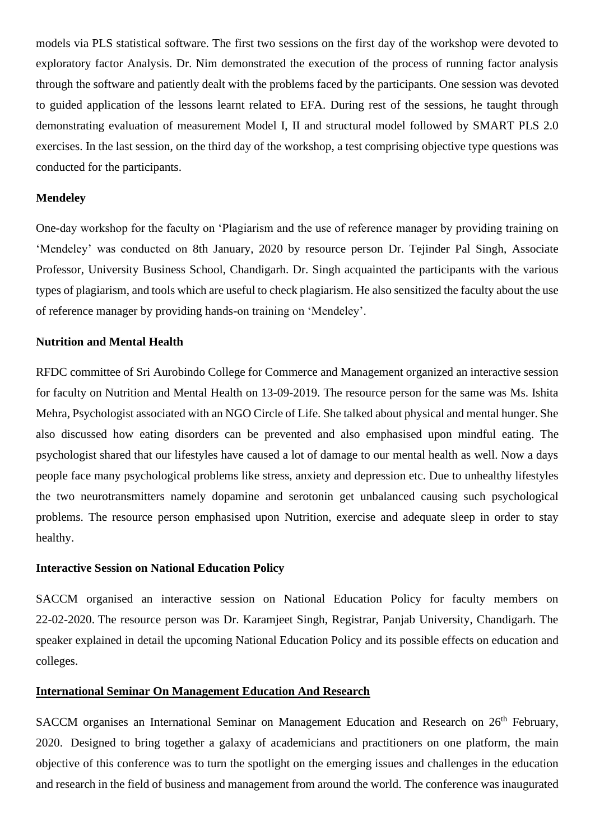models via PLS statistical software. The first two sessions on the first day of the workshop were devoted to exploratory factor Analysis. Dr. Nim demonstrated the execution of the process of running factor analysis through the software and patiently dealt with the problems faced by the participants. One session was devoted to guided application of the lessons learnt related to EFA. During rest of the sessions, he taught through demonstrating evaluation of measurement Model I, II and structural model followed by SMART PLS 2.0 exercises. In the last session, on the third day of the workshop, a test comprising objective type questions was conducted for the participants.

#### **Mendeley**

One-day workshop for the faculty on 'Plagiarism and the use of reference manager by providing training on 'Mendeley' was conducted on 8th January, 2020 by resource person Dr. Tejinder Pal Singh, Associate Professor, University Business School, Chandigarh. Dr. Singh acquainted the participants with the various types of plagiarism, and tools which are useful to check plagiarism. He also sensitized the faculty about the use of reference manager by providing hands-on training on 'Mendeley'.

#### **Nutrition and Mental Health**

RFDC committee of Sri Aurobindo College for Commerce and Management organized an interactive session for faculty on Nutrition and Mental Health on 13-09-2019. The resource person for the same was Ms. Ishita Mehra, Psychologist associated with an NGO Circle of Life. She talked about physical and mental hunger. She also discussed how eating disorders can be prevented and also emphasised upon mindful eating. The psychologist shared that our lifestyles have caused a lot of damage to our mental health as well. Now a days people face many psychological problems like stress, anxiety and depression etc. Due to unhealthy lifestyles the two neurotransmitters namely dopamine and serotonin get unbalanced causing such psychological problems. The resource person emphasised upon Nutrition, exercise and adequate sleep in order to stay healthy.

#### **Interactive Session on National Education Policy**

SACCM organised an interactive session on National Education Policy for faculty members on 22-02-2020. The resource person was Dr. Karamjeet Singh, Registrar, Panjab University, Chandigarh. The speaker explained in detail the upcoming National Education Policy and its possible effects on education and colleges.

#### **International Seminar On Management Education And Research**

SACCM organises an International Seminar on Management Education and Research on 26<sup>th</sup> February, 2020. Designed to bring together a galaxy of academicians and practitioners on one platform, the main objective of this conference was to turn the spotlight on the emerging issues and challenges in the education and research in the field of business and management from around the world. The conference was inaugurated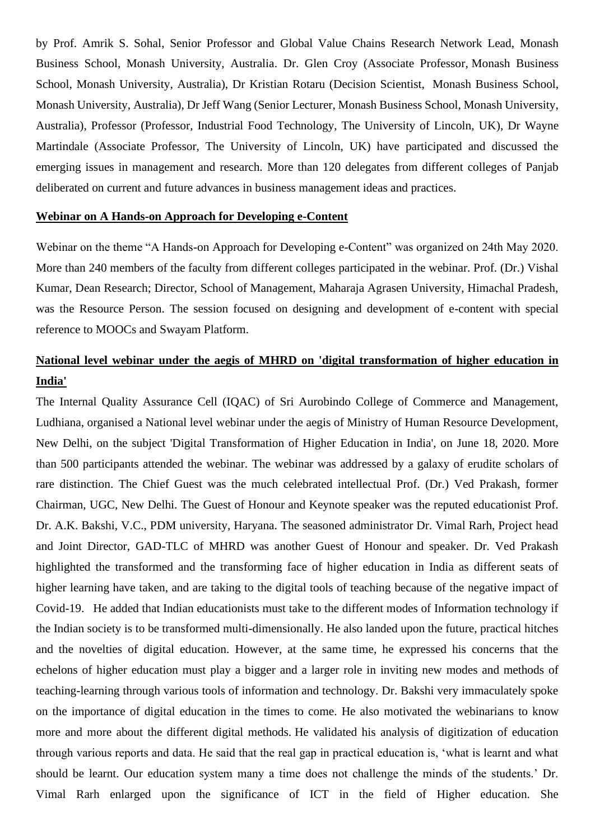by Prof. Amrik S. Sohal, Senior Professor and Global Value Chains Research Network Lead, Monash Business School, Monash University, Australia. Dr. Glen Croy (Associate Professor, Monash Business School, Monash University, Australia), Dr Kristian Rotaru (Decision Scientist, Monash Business School, Monash University, Australia), Dr Jeff Wang (Senior Lecturer, Monash Business School, Monash University, Australia), Professor (Professor, Industrial Food Technology, The University of Lincoln, UK), Dr Wayne Martindale (Associate Professor, The University of Lincoln, UK) have participated and discussed the emerging issues in management and research. More than 120 delegates from different colleges of Panjab deliberated on current and future advances in business management ideas and practices.

#### **Webinar on A Hands-on Approach for Developing e-Content**

Webinar on the theme "A Hands-on Approach for Developing e-Content" was organized on 24th May 2020. More than 240 members of the faculty from different colleges participated in the webinar. Prof. (Dr.) Vishal Kumar, Dean Research; Director, School of Management, Maharaja Agrasen University, Himachal Pradesh, was the Resource Person. The session focused on designing and development of e-content with special reference to MOOCs and Swayam Platform.

# **National level webinar under the aegis of MHRD on 'digital transformation of higher education in India'**

The Internal Quality Assurance Cell (IQAC) of Sri Aurobindo College of Commerce and Management, Ludhiana, organised a National level webinar under the aegis of Ministry of Human Resource Development, New Delhi, on the subject 'Digital Transformation of Higher Education in India', on June 18, 2020. More than 500 participants attended the webinar. The webinar was addressed by a galaxy of erudite scholars of rare distinction. The Chief Guest was the much celebrated intellectual Prof. (Dr.) Ved Prakash, former Chairman, UGC, New Delhi. The Guest of Honour and Keynote speaker was the reputed educationist Prof. Dr. A.K. Bakshi, V.C., PDM university, Haryana. The seasoned administrator Dr. Vimal Rarh, Project head and Joint Director, GAD-TLC of MHRD was another Guest of Honour and speaker. Dr. Ved Prakash highlighted the transformed and the transforming face of higher education in India as different seats of higher learning have taken, and are taking to the digital tools of teaching because of the negative impact of Covid-19. He added that Indian educationists must take to the different modes of Information technology if the Indian society is to be transformed multi-dimensionally. He also landed upon the future, practical hitches and the novelties of digital education. However, at the same time, he expressed his concerns that the echelons of higher education must play a bigger and a larger role in inviting new modes and methods of teaching-learning through various tools of information and technology. Dr. Bakshi very immaculately spoke on the importance of digital education in the times to come. He also motivated the webinarians to know more and more about the different digital methods. He validated his analysis of digitization of education through various reports and data. He said that the real gap in practical education is, 'what is learnt and what should be learnt. Our education system many a time does not challenge the minds of the students.' Dr. Vimal Rarh enlarged upon the significance of ICT in the field of Higher education. She